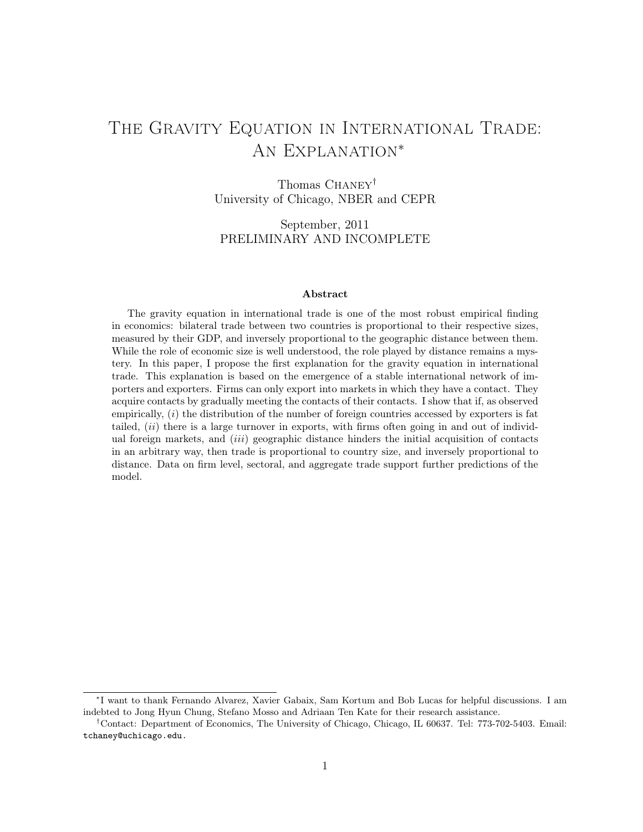# THE GRAVITY EQUATION IN INTERNATIONAL TRADE: An Explanation<sup>∗</sup>

Thomas Chaney*†* University of Chicago, NBER and CEPR

September, 2011 PRELIMINARY AND INCOMPLETE

### Abstract

The gravity equation in international trade is one of the most robust empirical finding in economics: bilateral trade between two countries is proportional to their respective sizes, measured by their GDP, and inversely proportional to the geographic distance between them. While the role of economic size is well understood, the role played by distance remains a mystery. In this paper, I propose the first explanation for the gravity equation in international trade. This explanation is based on the emergence of a stable international network of importers and exporters. Firms can only export into markets in which they have a contact. They acquire contacts by gradually meeting the contacts of their contacts. I show that if, as observed empirically, (*i*) the distribution of the number of foreign countries accessed by exporters is fat tailed, (*ii*) there is a large turnover in exports, with firms often going in and out of individual foreign markets, and (*iii*) geographic distance hinders the initial acquisition of contacts in an arbitrary way, then trade is proportional to country size, and inversely proportional to distance. Data on firm level, sectoral, and aggregate trade support further predictions of the model.

<sup>∗</sup>I want to thank Fernando Alvarez, Xavier Gabaix, Sam Kortum and Bob Lucas for helpful discussions. I am indebted to Jong Hyun Chung, Stefano Mosso and Adriaan Ten Kate for their research assistance.

*<sup>†</sup>*Contact: Department of Economics, The University of Chicago, Chicago, IL 60637. Tel: 773-702-5403. Email: tchaney@uchicago.edu.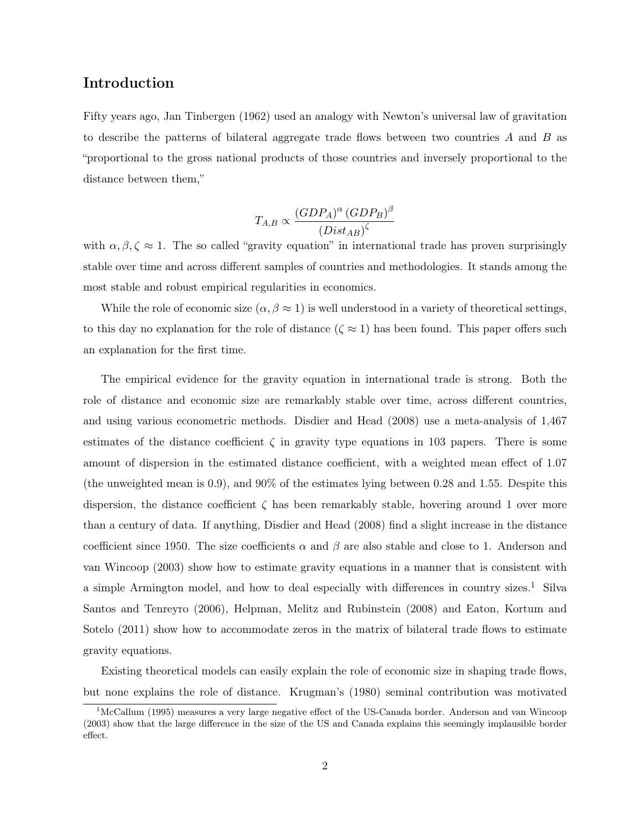## Introduction

Fifty years ago, Jan Tinbergen (1962) used an analogy with Newton's universal law of gravitation to describe the patterns of bilateral aggregate trade flows between two countries *A* and *B* as "proportional to the gross national products of those countries and inversely proportional to the distance between them,"

$$
T_{A,B} \propto \frac{(GDP_A)^{\alpha} (GDP_B)^{\beta}}{(Dist_{AB})^{\zeta}}
$$

with  $\alpha, \beta, \zeta \approx 1$ . The so called "gravity equation" in international trade has proven surprisingly stable over time and across different samples of countries and methodologies. It stands among the most stable and robust empirical regularities in economics.

While the role of economic size  $(\alpha, \beta \approx 1)$  is well understood in a variety of theoretical settings, to this day no explanation for the role of distance  $(\zeta \approx 1)$  has been found. This paper offers such an explanation for the first time.

The empirical evidence for the gravity equation in international trade is strong. Both the role of distance and economic size are remarkably stable over time, across different countries, and using various econometric methods. Disdier and Head (2008) use a meta-analysis of 1,467 estimates of the distance coefficient  $\zeta$  in gravity type equations in 103 papers. There is some amount of dispersion in the estimated distance coefficient, with a weighted mean effect of 1.07 (the unweighted mean is 0.9), and 90% of the estimates lying between 0.28 and 1.55. Despite this dispersion, the distance coefficient  $\zeta$  has been remarkably stable, hovering around 1 over more than a century of data. If anything, Disdier and Head (2008) find a slight increase in the distance coefficient since 1950. The size coefficients  $\alpha$  and  $\beta$  are also stable and close to 1. Anderson and van Wincoop (2003) show how to estimate gravity equations in a manner that is consistent with a simple Armington model, and how to deal especially with differences in country sizes.<sup>1</sup> Silva Santos and Tenreyro (2006), Helpman, Melitz and Rubinstein (2008) and Eaton, Kortum and Sotelo (2011) show how to accommodate zeros in the matrix of bilateral trade flows to estimate gravity equations.

Existing theoretical models can easily explain the role of economic size in shaping trade flows, but none explains the role of distance. Krugman's (1980) seminal contribution was motivated

<sup>1</sup>McCallum (1995) measures a very large negative effect of the US-Canada border. Anderson and van Wincoop (2003) show that the large difference in the size of the US and Canada explains this seemingly implausible border effect.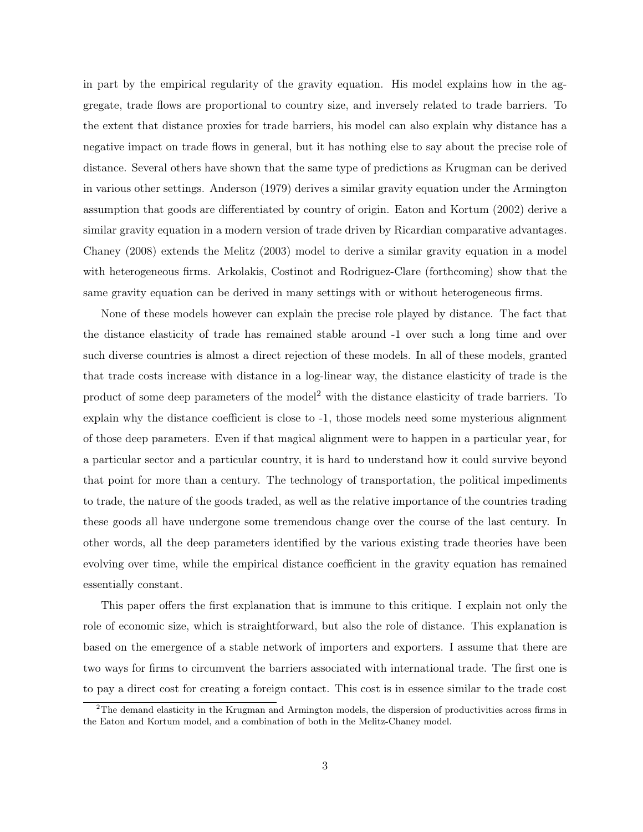in part by the empirical regularity of the gravity equation. His model explains how in the aggregate, trade flows are proportional to country size, and inversely related to trade barriers. To the extent that distance proxies for trade barriers, his model can also explain why distance has a negative impact on trade flows in general, but it has nothing else to say about the precise role of distance. Several others have shown that the same type of predictions as Krugman can be derived in various other settings. Anderson (1979) derives a similar gravity equation under the Armington assumption that goods are differentiated by country of origin. Eaton and Kortum (2002) derive a similar gravity equation in a modern version of trade driven by Ricardian comparative advantages. Chaney (2008) extends the Melitz (2003) model to derive a similar gravity equation in a model with heterogeneous firms. Arkolakis, Costinot and Rodriguez-Clare (forthcoming) show that the same gravity equation can be derived in many settings with or without heterogeneous firms.

None of these models however can explain the precise role played by distance. The fact that the distance elasticity of trade has remained stable around -1 over such a long time and over such diverse countries is almost a direct rejection of these models. In all of these models, granted that trade costs increase with distance in a log-linear way, the distance elasticity of trade is the product of some deep parameters of the model<sup>2</sup> with the distance elasticity of trade barriers. To explain why the distance coefficient is close to -1, those models need some mysterious alignment of those deep parameters. Even if that magical alignment were to happen in a particular year, for a particular sector and a particular country, it is hard to understand how it could survive beyond that point for more than a century. The technology of transportation, the political impediments to trade, the nature of the goods traded, as well as the relative importance of the countries trading these goods all have undergone some tremendous change over the course of the last century. In other words, all the deep parameters identified by the various existing trade theories have been evolving over time, while the empirical distance coefficient in the gravity equation has remained essentially constant.

This paper offers the first explanation that is immune to this critique. I explain not only the role of economic size, which is straightforward, but also the role of distance. This explanation is based on the emergence of a stable network of importers and exporters. I assume that there are two ways for firms to circumvent the barriers associated with international trade. The first one is to pay a direct cost for creating a foreign contact. This cost is in essence similar to the trade cost

 $2$ The demand elasticity in the Krugman and Armington models, the dispersion of productivities across firms in the Eaton and Kortum model, and a combination of both in the Melitz-Chaney model.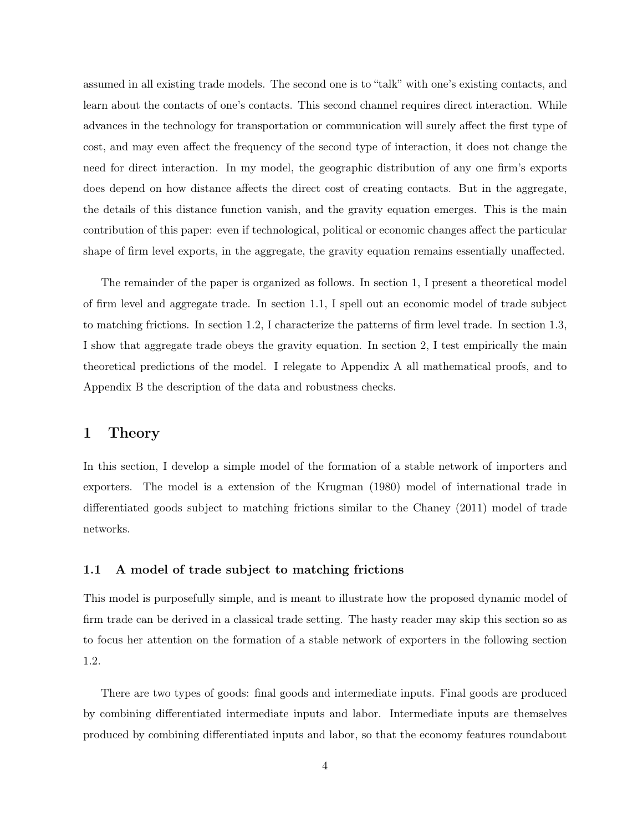assumed in all existing trade models. The second one is to "talk" with one's existing contacts, and learn about the contacts of one's contacts. This second channel requires direct interaction. While advances in the technology for transportation or communication will surely affect the first type of cost, and may even affect the frequency of the second type of interaction, it does not change the need for direct interaction. In my model, the geographic distribution of any one firm's exports does depend on how distance affects the direct cost of creating contacts. But in the aggregate, the details of this distance function vanish, and the gravity equation emerges. This is the main contribution of this paper: even if technological, political or economic changes affect the particular shape of firm level exports, in the aggregate, the gravity equation remains essentially unaffected.

The remainder of the paper is organized as follows. In section 1, I present a theoretical model of firm level and aggregate trade. In section 1.1, I spell out an economic model of trade subject to matching frictions. In section 1.2, I characterize the patterns of firm level trade. In section 1.3, I show that aggregate trade obeys the gravity equation. In section 2, I test empirically the main theoretical predictions of the model. I relegate to Appendix A all mathematical proofs, and to Appendix B the description of the data and robustness checks.

## 1 Theory

In this section, I develop a simple model of the formation of a stable network of importers and exporters. The model is a extension of the Krugman (1980) model of international trade in differentiated goods subject to matching frictions similar to the Chaney (2011) model of trade networks.

### 1.1 A model of trade subject to matching frictions

This model is purposefully simple, and is meant to illustrate how the proposed dynamic model of firm trade can be derived in a classical trade setting. The hasty reader may skip this section so as to focus her attention on the formation of a stable network of exporters in the following section 1.2.

There are two types of goods: final goods and intermediate inputs. Final goods are produced by combining differentiated intermediate inputs and labor. Intermediate inputs are themselves produced by combining differentiated inputs and labor, so that the economy features roundabout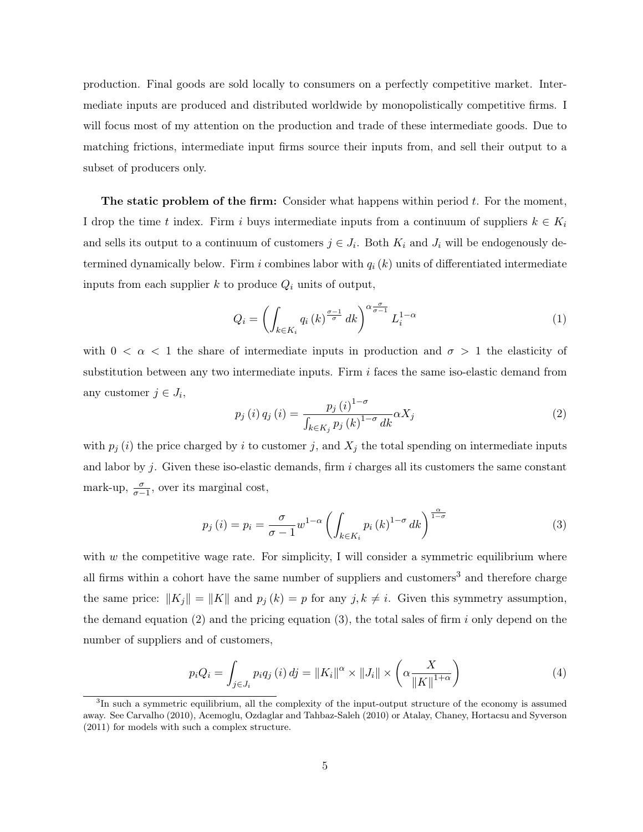production. Final goods are sold locally to consumers on a perfectly competitive market. Intermediate inputs are produced and distributed worldwide by monopolistically competitive firms. I will focus most of my attention on the production and trade of these intermediate goods. Due to matching frictions, intermediate input firms source their inputs from, and sell their output to a subset of producers only.

The static problem of the firm: Consider what happens within period *t*. For the moment, I drop the time *t* index. Firm *i* buys intermediate inputs from a continuum of suppliers  $k \in K_i$ and sells its output to a continuum of customers  $j \in J_i$ . Both  $K_i$  and  $J_i$  will be endogenously determined dynamically below. Firm *i* combines labor with *q<sup>i</sup>* (*k*) units of differentiated intermediate inputs from each supplier *k* to produce *Q<sup>i</sup>* units of output,

$$
Q_{i} = \left(\int_{k \in K_{i}} q_{i} \left(k\right)^{\frac{\sigma-1}{\sigma}} dk\right)^{\alpha \frac{\sigma}{\sigma-1}} L_{i}^{1-\alpha} \tag{1}
$$

with  $0 < \alpha < 1$  the share of intermediate inputs in production and  $\sigma > 1$  the elasticity of substitution between any two intermediate inputs. Firm *i* faces the same iso-elastic demand from any customer  $j \in J_i$ ,

$$
p_{j}(i) q_{j}(i) = \frac{p_{j}(i)^{1-\sigma}}{\int_{k \in K_{j}} p_{j}(k)^{1-\sigma} dk} \alpha X_{j}
$$
\n(2)

with  $p_j(i)$  the price charged by *i* to customer *j*, and  $X_j$  the total spending on intermediate inputs and labor by  $j$ . Given these iso-elastic demands, firm  $i$  charges all its customers the same constant mark-up,  $\frac{\sigma}{\sigma-1}$ , over its marginal cost,

$$
p_j(i) = p_i = \frac{\sigma}{\sigma - 1} w^{1-\alpha} \left( \int_{k \in K_i} p_i(k)^{1-\sigma} dk \right)^{\frac{\alpha}{1-\sigma}}
$$
(3)

with *w* the competitive wage rate. For simplicity, I will consider a symmetric equilibrium where all firms within a cohort have the same number of suppliers and customers<sup>3</sup> and therefore charge the same price:  $||K_j|| = ||K||$  and  $p_j(k) = p$  for any  $j, k \neq i$ . Given this symmetry assumption, the demand equation (2) and the pricing equation (3), the total sales of firm *i* only depend on the number of suppliers and of customers,

$$
p_i Q_i = \int_{j \in J_i} p_i q_j(i) \, dj = \|K_i\|^{\alpha} \times \|J_i\| \times \left(\alpha \frac{X}{\|K\|^{1+\alpha}}\right) \tag{4}
$$

<sup>&</sup>lt;sup>3</sup>In such a symmetric equilibrium, all the complexity of the input-output structure of the economy is assumed away. See Carvalho (2010), Acemoglu, Ozdaglar and Tahbaz-Saleh (2010) or Atalay, Chaney, Hortacsu and Syverson (2011) for models with such a complex structure.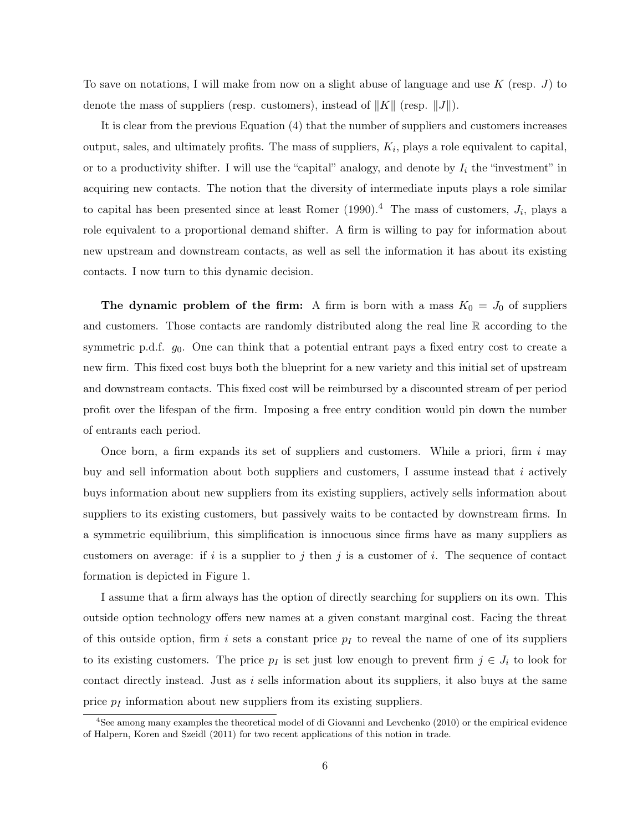To save on notations, I will make from now on a slight abuse of language and use *K* (resp. *J*) to denote the mass of suppliers (resp. customers), instead of  $||K||$  (resp.  $||J||$ ).

It is clear from the previous Equation (4) that the number of suppliers and customers increases output, sales, and ultimately profits. The mass of suppliers, *Ki*, plays a role equivalent to capital, or to a productivity shifter. I will use the "capital" analogy, and denote by *I<sup>i</sup>* the "investment" in acquiring new contacts. The notion that the diversity of intermediate inputs plays a role similar to capital has been presented since at least Romer  $(1990)^{4}$  The mass of customers,  $J_i$ , plays a role equivalent to a proportional demand shifter. A firm is willing to pay for information about new upstream and downstream contacts, as well as sell the information it has about its existing contacts. I now turn to this dynamic decision.

**The dynamic problem of the firm:** A firm is born with a mass  $K_0 = J_0$  of suppliers and customers. Those contacts are randomly distributed along the real line R according to the symmetric p.d.f.  $g_0$ . One can think that a potential entrant pays a fixed entry cost to create a new firm. This fixed cost buys both the blueprint for a new variety and this initial set of upstream and downstream contacts. This fixed cost will be reimbursed by a discounted stream of per period profit over the lifespan of the firm. Imposing a free entry condition would pin down the number of entrants each period.

Once born, a firm expands its set of suppliers and customers. While a priori, firm *i* may buy and sell information about both suppliers and customers, I assume instead that *i* actively buys information about new suppliers from its existing suppliers, actively sells information about suppliers to its existing customers, but passively waits to be contacted by downstream firms. In a symmetric equilibrium, this simplification is innocuous since firms have as many suppliers as customers on average: if *i* is a supplier to *j* then *j* is a customer of *i*. The sequence of contact formation is depicted in Figure 1.

I assume that a firm always has the option of directly searching for suppliers on its own. This outside option technology offers new names at a given constant marginal cost. Facing the threat of this outside option, firm *i* sets a constant price  $p_I$  to reveal the name of one of its suppliers to its existing customers. The price  $p_I$  is set just low enough to prevent firm  $j \in J_i$  to look for contact directly instead. Just as *i* sells information about its suppliers, it also buys at the same price *p<sup>I</sup>* information about new suppliers from its existing suppliers.

<sup>4</sup>See among many examples the theoretical model of di Giovanni and Levchenko (2010) or the empirical evidence of Halpern, Koren and Szeidl (2011) for two recent applications of this notion in trade.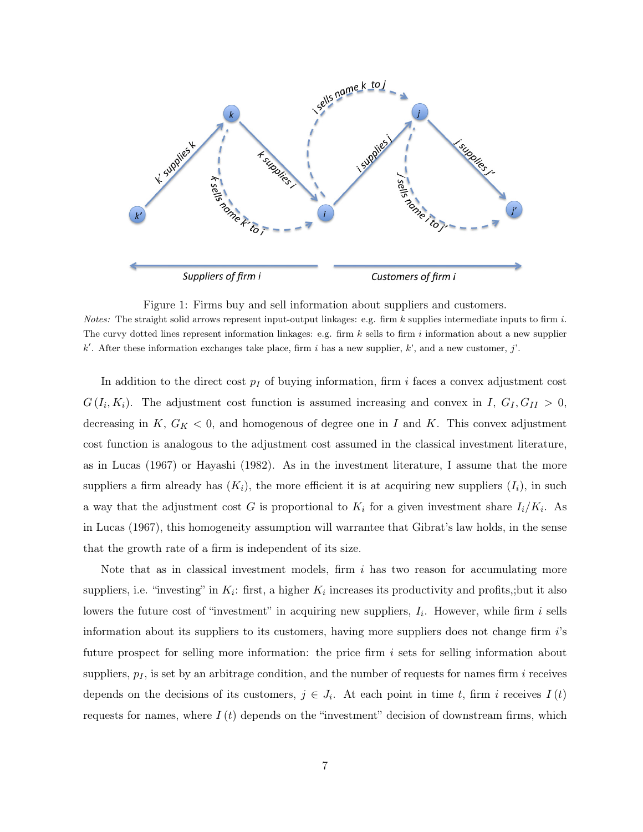

Figure 1: Firms buy and sell information about suppliers and customers. *Notes:* The straight solid arrows represent input-output linkages: e.g. firm *k* supplies intermediate inputs to firm *i*. The curvy dotted lines represent information linkages: e.g. firm *k* sells to firm *i* information about a new supplier  $k'$ . After these information exchanges take place, firm *i* has a new supplier,  $k'$ , and a new customer, *j'*.

In addition to the direct cost *p<sup>I</sup>* of buying information, firm *i* faces a convex adjustment cost  $G(I_i, K_i)$ . The adjustment cost function is assumed increasing and convex in *I*,  $G_I, G_{II} > 0$ , decreasing in  $K$ ,  $G_K < 0$ , and homogenous of degree one in *I* and *K*. This convex adjustment cost function is analogous to the adjustment cost assumed in the classical investment literature, as in Lucas (1967) or Hayashi (1982). As in the investment literature, I assume that the more suppliers a firm already has  $(K_i)$ , the more efficient it is at acquiring new suppliers  $(I_i)$ , in such a way that the adjustment cost *G* is proportional to  $K_i$  for a given investment share  $I_i/K_i$ . As in Lucas (1967), this homogeneity assumption will warrantee that Gibrat's law holds, in the sense that the growth rate of a firm is independent of its size.

Note that as in classical investment models, firm *i* has two reason for accumulating more suppliers, i.e. "investing" in  $K_i$ : first, a higher  $K_i$  increases its productivity and profits,;but it also lowers the future cost of "investment" in acquiring new suppliers, *Ii*. However, while firm *i* sells information about its suppliers to its customers, having more suppliers does not change firm *i*'s future prospect for selling more information: the price firm *i* sets for selling information about suppliers,  $p_I$ , is set by an arbitrage condition, and the number of requests for names firm  $i$  receives depends on the decisions of its customers,  $j \in J_i$ . At each point in time *t*, firm *i* receives  $I(t)$ requests for names, where  $I(t)$  depends on the "investment" decision of downstream firms, which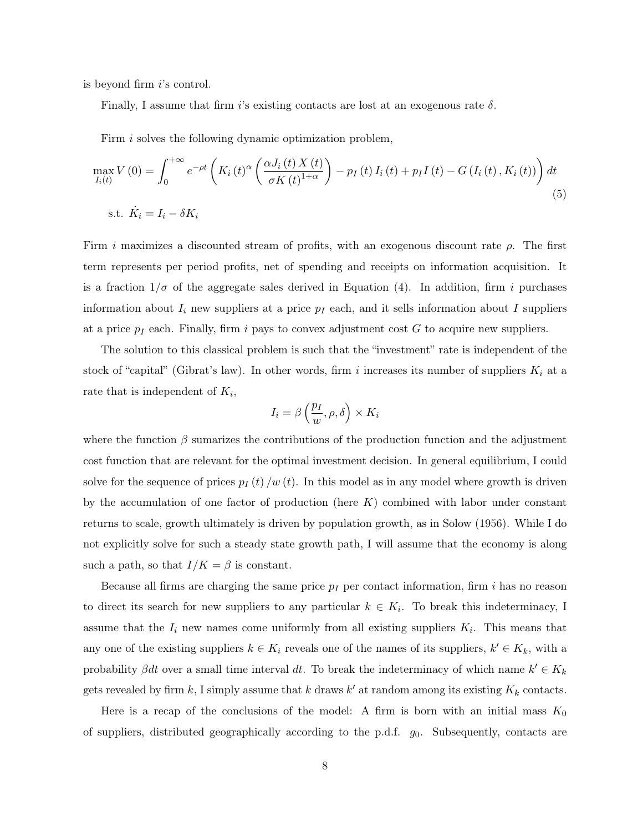is beyond firm *i*'s control.

Finally, I assume that firm *i*'s existing contacts are lost at an exogenous rate  $\delta$ .

Firm *i* solves the following dynamic optimization problem,

$$
\max_{I_i(t)} V(0) = \int_0^{+\infty} e^{-\rho t} \left( K_i(t)^{\alpha} \left( \frac{\alpha J_i(t) X(t)}{\sigma K(t)^{1+\alpha}} \right) - p_I(t) I_i(t) + p_I I(t) - G(I_i(t), K_i(t)) \right) dt
$$
  
s.t.  $\dot{K}_i = I_i - \delta K_i$  (5)

Firm *i* maximizes a discounted stream of profits, with an exogenous discount rate  $\rho$ . The first term represents per period profits, net of spending and receipts on information acquisition. It is a fraction  $1/\sigma$  of the aggregate sales derived in Equation (4). In addition, firm *i* purchases information about *I<sup>i</sup>* new suppliers at a price *p<sup>I</sup>* each, and it sells information about *I* suppliers at a price *p<sup>I</sup>* each. Finally, firm *i* pays to convex adjustment cost *G* to acquire new suppliers.

The solution to this classical problem is such that the "investment" rate is independent of the stock of "capital" (Gibrat's law). In other words, firm *i* increases its number of suppliers  $K_i$  at a rate that is independent of *Ki*,

$$
I_i = \beta\left(\frac{p_I}{w}, \rho, \delta\right) \times K_i
$$

where the function  $\beta$  sumarizes the contributions of the production function and the adjustment cost function that are relevant for the optimal investment decision. In general equilibrium, I could solve for the sequence of prices  $p_I(t)/w(t)$ . In this model as in any model where growth is driven by the accumulation of one factor of production (here *K*) combined with labor under constant returns to scale, growth ultimately is driven by population growth, as in Solow (1956). While I do not explicitly solve for such a steady state growth path, I will assume that the economy is along such a path, so that  $I/K = \beta$  is constant.

Because all firms are charging the same price  $p_I$  per contact information, firm *i* has no reason to direct its search for new suppliers to any particular  $k \in K_i$ . To break this indeterminacy, I assume that the  $I_i$  new names come uniformly from all existing suppliers  $K_i$ . This means that any one of the existing suppliers  $k \in K_i$  reveals one of the names of its suppliers,  $k' \in K_k$ , with a probability  $\beta dt$  over a small time interval dt. To break the indeterminacy of which name  $k' \in K_k$ gets revealed by firm  $k$ , I simply assume that  $k$  draws  $k'$  at random among its existing  $K_k$  contacts.

Here is a recap of the conclusions of the model: A firm is born with an initial mass  $K_0$ of suppliers, distributed geographically according to the p.d.f. *g*0. Subsequently, contacts are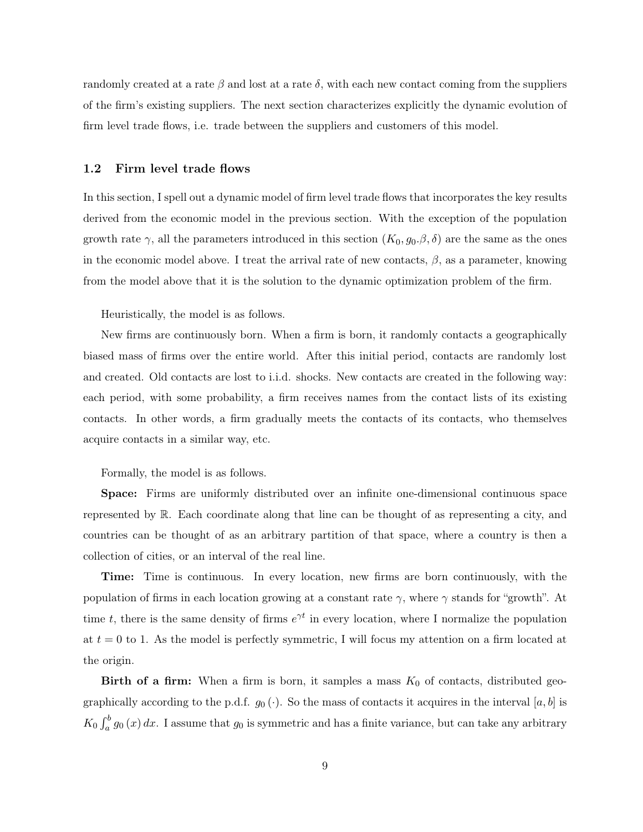randomly created at a rate  $\beta$  and lost at a rate  $\delta$ , with each new contact coming from the suppliers of the firm's existing suppliers. The next section characterizes explicitly the dynamic evolution of firm level trade flows, i.e. trade between the suppliers and customers of this model.

#### 1.2 Firm level trade flows

In this section, I spell out a dynamic model of firm level trade flows that incorporates the key results derived from the economic model in the previous section. With the exception of the population growth rate  $\gamma$ , all the parameters introduced in this section  $(K_0, g_0, \beta, \delta)$  are the same as the ones in the economic model above. I treat the arrival rate of new contacts,  $\beta$ , as a parameter, knowing from the model above that it is the solution to the dynamic optimization problem of the firm.

Heuristically, the model is as follows.

New firms are continuously born. When a firm is born, it randomly contacts a geographically biased mass of firms over the entire world. After this initial period, contacts are randomly lost and created. Old contacts are lost to i.i.d. shocks. New contacts are created in the following way: each period, with some probability, a firm receives names from the contact lists of its existing contacts. In other words, a firm gradually meets the contacts of its contacts, who themselves acquire contacts in a similar way, etc.

Formally, the model is as follows.

Space: Firms are uniformly distributed over an infinite one-dimensional continuous space represented by R. Each coordinate along that line can be thought of as representing a city, and countries can be thought of as an arbitrary partition of that space, where a country is then a collection of cities, or an interval of the real line.

Time: Time is continuous. In every location, new firms are born continuously, with the population of firms in each location growing at a constant rate  $\gamma$ , where  $\gamma$  stands for "growth". At time *t*, there is the same density of firms  $e^{\gamma t}$  in every location, where I normalize the population at  $t = 0$  to 1. As the model is perfectly symmetric, I will focus my attention on a firm located at the origin.

**Birth of a firm:** When a firm is born, it samples a mass  $K_0$  of contacts, distributed geographically according to the p.d.f.  $g_0(\cdot)$ . So the mass of contacts it acquires in the interval [a, b] is  $K_0$   $\int_a^b g_0(x) dx$ . I assume that  $g_0$  is symmetric and has a finite variance, but can take any arbitrary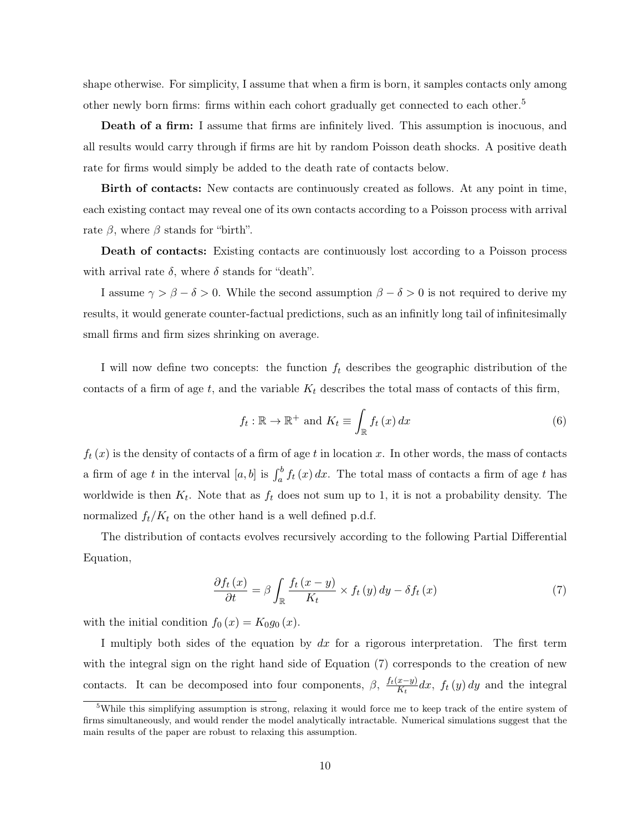shape otherwise. For simplicity, I assume that when a firm is born, it samples contacts only among other newly born firms: firms within each cohort gradually get connected to each other.<sup>5</sup>

Death of a firm: I assume that firms are infinitely lived. This assumption is inocuous, and all results would carry through if firms are hit by random Poisson death shocks. A positive death rate for firms would simply be added to the death rate of contacts below.

Birth of contacts: New contacts are continuously created as follows. At any point in time, each existing contact may reveal one of its own contacts according to a Poisson process with arrival rate  $\beta$ , where  $\beta$  stands for "birth".

Death of contacts: Existing contacts are continuously lost according to a Poisson process with arrival rate  $\delta$ , where  $\delta$  stands for "death".

I assume  $\gamma > \beta - \delta > 0$ . While the second assumption  $\beta - \delta > 0$  is not required to derive my results, it would generate counter-factual predictions, such as an infinitly long tail of infinitesimally small firms and firm sizes shrinking on average.

I will now define two concepts: the function *f<sup>t</sup>* describes the geographic distribution of the contacts of a firm of age  $t$ , and the variable  $K_t$  describes the total mass of contacts of this firm,

$$
f_t: \mathbb{R} \to \mathbb{R}^+ \text{ and } K_t \equiv \int_{\mathbb{R}} f_t(x) dx \tag{6}
$$

 $f_t(x)$  is the density of contacts of a firm of age *t* in location *x*. In other words, the mass of contacts a firm of age *t* in the interval  $[a, b]$  is  $\int_a^b f_t(x) dx$ . The total mass of contacts a firm of age *t* has worldwide is then  $K_t$ . Note that as  $f_t$  does not sum up to 1, it is not a probability density. The normalized  $f_t/K_t$  on the other hand is a well defined p.d.f.

The distribution of contacts evolves recursively according to the following Partial Differential Equation,

$$
\frac{\partial f_t(x)}{\partial t} = \beta \int_{\mathbb{R}} \frac{f_t(x - y)}{K_t} \times f_t(y) \, dy - \delta f_t(x) \tag{7}
$$

with the initial condition  $f_0(x) = K_0 g_0(x)$ .

I multiply both sides of the equation by *dx* for a rigorous interpretation. The first term with the integral sign on the right hand side of Equation (7) corresponds to the creation of new contacts. It can be decomposed into four components,  $\beta$ ,  $\frac{f_t(x-y)}{K_t}dx$ ,  $f_t(y) dy$  and the integral

<sup>&</sup>lt;sup>5</sup>While this simplifying assumption is strong, relaxing it would force me to keep track of the entire system of firms simultaneously, and would render the model analytically intractable. Numerical simulations suggest that the main results of the paper are robust to relaxing this assumption.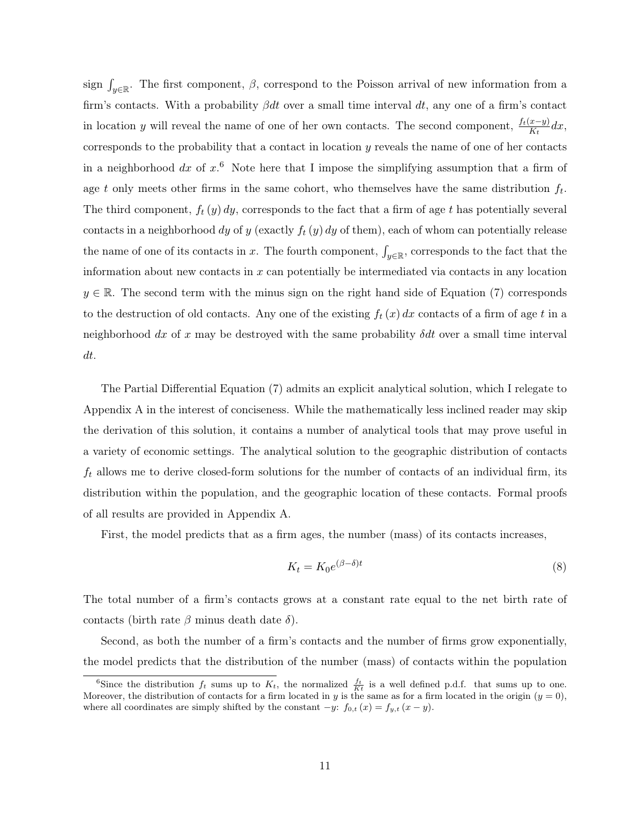sign  $\int_{y\in\mathbb{R}}$ . The first component,  $\beta$ , correspond to the Poisson arrival of new information from a firm's contacts. With a probability β*dt* over a small time interval *dt*, any one of a firm's contact in location *y* will reveal the name of one of her own contacts. The second component,  $\frac{f_t(x-y)}{K_t}dx$ , corresponds to the probability that a contact in location *y* reveals the name of one of her contacts in a neighborhood *dx* of *x*. <sup>6</sup> Note here that I impose the simplifying assumption that a firm of age *t* only meets other firms in the same cohort, who themselves have the same distribution *ft*. The third component, *f<sup>t</sup>* (*y*) *dy*, corresponds to the fact that a firm of age *t* has potentially several contacts in a neighborhood *dy* of *y* (exactly *f<sup>t</sup>* (*y*) *dy* of them), each of whom can potentially release the name of one of its contacts in *x*. The fourth component,  $\int_{y\in\mathbb{R}}$ , corresponds to the fact that the information about new contacts in *x* can potentially be intermediated via contacts in any location  $y \in \mathbb{R}$ . The second term with the minus sign on the right hand side of Equation (7) corresponds to the destruction of old contacts. Any one of the existing  $f_t(x) dx$  contacts of a firm of age  $t$  in a neighborhood *dx* of *x* may be destroyed with the same probability δ*dt* over a small time interval *dt*.

The Partial Differential Equation (7) admits an explicit analytical solution, which I relegate to Appendix A in the interest of conciseness. While the mathematically less inclined reader may skip the derivation of this solution, it contains a number of analytical tools that may prove useful in a variety of economic settings. The analytical solution to the geographic distribution of contacts *f<sup>t</sup>* allows me to derive closed-form solutions for the number of contacts of an individual firm, its distribution within the population, and the geographic location of these contacts. Formal proofs of all results are provided in Appendix A.

First, the model predicts that as a firm ages, the number (mass) of its contacts increases,

$$
K_t = K_0 e^{(\beta - \delta)t} \tag{8}
$$

The total number of a firm's contacts grows at a constant rate equal to the net birth rate of contacts (birth rate  $\beta$  minus death date  $\delta$ ).

Second, as both the number of a firm's contacts and the number of firms grow exponentially, the model predicts that the distribution of the number (mass) of contacts within the population

<sup>&</sup>lt;sup>6</sup>Since the distribution  $f_t$  sums up to  $K_t$ , the normalized  $\frac{f_t}{Kt}$  is a well defined p.d.f. that sums up to one. Moreover, the distribution of contacts for a firm located in *y* is the same as for a firm located in the origin (*y* = 0), where all coordinates are simply shifted by the constant  $-y$ :  $f_{0,t}(x) = f_{y,t}(x - y)$ .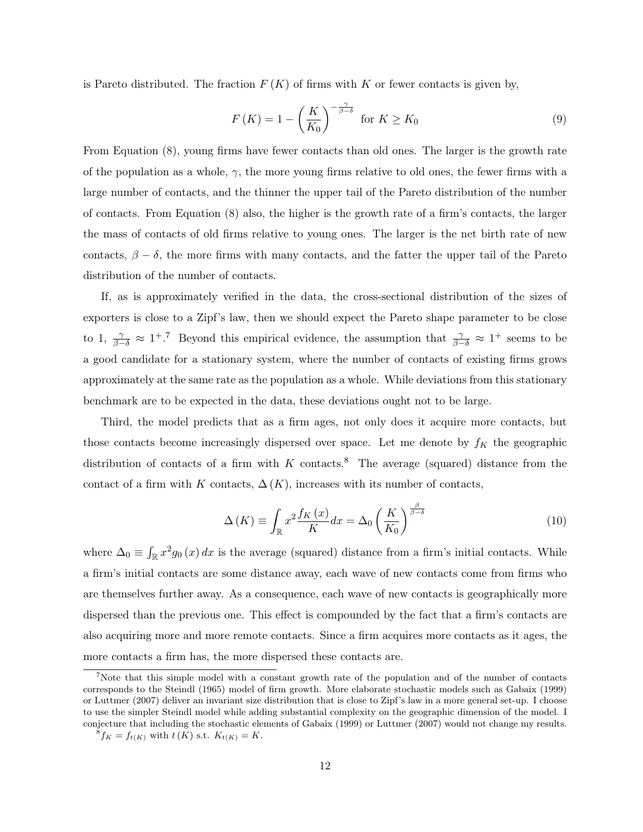is Pareto distributed. The fraction  $F(K)$  of firms with  $K$  or fewer contacts is given by,

$$
F(K) = 1 - \left(\frac{K}{K_0}\right)^{-\frac{\gamma}{\beta - \delta}} \text{ for } K \ge K_0 \tag{9}
$$

From Equation (8), young firms have fewer contacts than old ones. The larger is the growth rate of the population as a whole,  $\gamma$ , the more young firms relative to old ones, the fewer firms with a large number of contacts, and the thinner the upper tail of the Pareto distribution of the number of contacts. From Equation (8) also, the higher is the growth rate of a firm's contacts, the larger the mass of contacts of old firms relative to young ones. The larger is the net birth rate of new contacts,  $\beta - \delta$ , the more firms with many contacts, and the fatter the upper tail of the Pareto distribution of the number of contacts.

If, as is approximately verified in the data, the cross-sectional distribution of the sizes of exporters is close to a Zipf's law, then we should expect the Pareto shape parameter to be close to 1,  $\frac{\gamma}{\beta-\delta} \approx 1^{\frac{1}{2}}$ . Beyond this empirical evidence, the assumption that  $\frac{\gamma}{\beta-\delta} \approx 1^{\frac{1}{2}}$  seems to be a good candidate for a stationary system, where the number of contacts of existing firms grows approximately at the same rate as the population as a whole. While deviations from this stationary benchmark are to be expected in the data, these deviations ought not to be large.

Third, the model predicts that as a firm ages, not only does it acquire more contacts, but those contacts become increasingly dispersed over space. Let me denote by  $f_K$  the geographic distribution of contacts of a firm with  $K$  contacts.<sup>8</sup> The average (squared) distance from the contact of a firm with *K* contacts,  $\Delta(K)$ , increases with its number of contacts,

$$
\Delta(K) \equiv \int_{\mathbb{R}} x^2 \frac{f_K(x)}{K} dx = \Delta_0 \left(\frac{K}{K_0}\right)^{\frac{\beta}{\beta - \delta}} \tag{10}
$$

where  $\Delta_0 \equiv \int_{\mathbb{R}} x^2 g_0(x) dx$  is the average (squared) distance from a firm's initial contacts. While a firm's initial contacts are some distance away, each wave of new contacts come from firms who are themselves further away. As a consequence, each wave of new contacts is geographically more dispersed than the previous one. This effect is compounded by the fact that a firm's contacts are also acquiring more and more remote contacts. Since a firm acquires more contacts as it ages, the more contacts a firm has, the more dispersed these contacts are.

<sup>&</sup>lt;sup>7</sup>Note that this simple model with a constant growth rate of the population and of the number of contacts corresponds to the Steindl (1965) model of firm growth. More elaborate stochastic models such as Gabaix (1999) or Luttmer (2007) deliver an invariant size distribution that is close to Zipf's law in a more general set-up. I choose to use the simpler Steindl model while adding substantial complexity on the geographic dimension of the model. I conjecture that including the stochastic elements of Gabaix (1999) or Luttmer (2007) would not change my results.

 ${}^{8}f_{K} = f_{t(K)}$  with  $t(K)$  s.t.  $K_{t(K)} = K$ .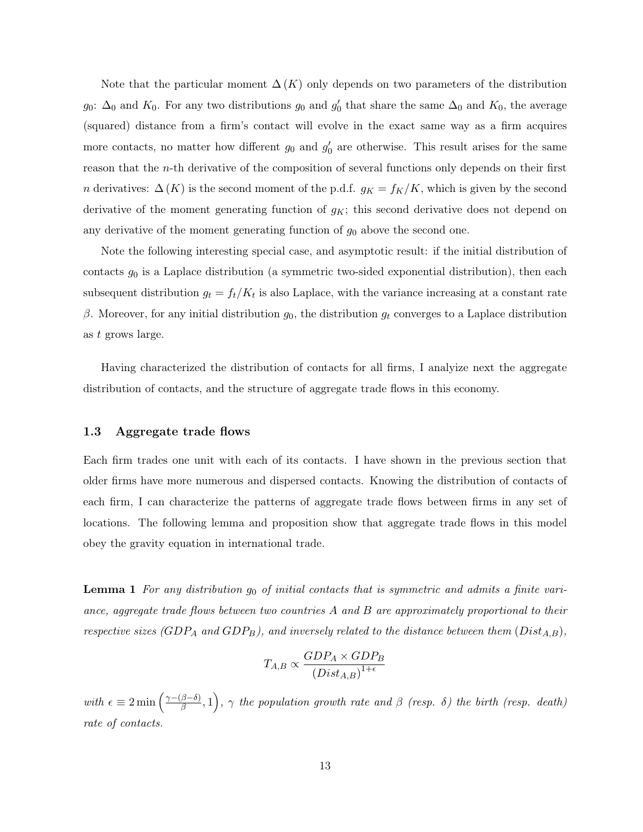Note that the particular moment  $\Delta(K)$  only depends on two parameters of the distribution *g*<sub>0</sub>:  $\Delta_0$  and  $K_0$ . For any two distributions *g*<sub>0</sub> and *g*<sup> $\prime$ </sup><sub>0</sub> that share the same  $\Delta_0$  and  $K_0$ , the average (squared) distance from a firm's contact will evolve in the exact same way as a firm acquires more contacts, no matter how different  $g_0$  and  $g'_0$  are otherwise. This result arises for the same reason that the *n*-th derivative of the composition of several functions only depends on their first *n* derivatives:  $\Delta(K)$  is the second moment of the p.d.f.  $g_K = f_K/K$ , which is given by the second derivative of the moment generating function of *gK*; this second derivative does not depend on any derivative of the moment generating function of *g*<sup>0</sup> above the second one.

Note the following interesting special case, and asymptotic result: if the initial distribution of contacts *g*<sup>0</sup> is a Laplace distribution (a symmetric two-sided exponential distribution), then each subsequent distribution  $g_t = f_t/K_t$  is also Laplace, with the variance increasing at a constant rate β. Moreover, for any initial distribution  $g_0$ , the distribution  $g_t$  converges to a Laplace distribution as *t* grows large.

Having characterized the distribution of contacts for all firms, I analyize next the aggregate distribution of contacts, and the structure of aggregate trade flows in this economy.

#### 1.3 Aggregate trade flows

Each firm trades one unit with each of its contacts. I have shown in the previous section that older firms have more numerous and dispersed contacts. Knowing the distribution of contacts of each firm, I can characterize the patterns of aggregate trade flows between firms in any set of locations. The following lemma and proposition show that aggregate trade flows in this model obey the gravity equation in international trade.

Lemma 1 *For any distribution g*<sup>0</sup> *of initial contacts that is symmetric and admits a finite variance, aggregate trade flows between two countries A and B are approximately proportional to their respective sizes (GDP<sup>A</sup> and GDPB), and inversely related to the distance between them* (*DistA,B*)*,*

$$
T_{A,B} \propto \frac{GDP_A \times GDP_B}{(Dist_{A,B})^{1+\epsilon}}
$$

 $with \epsilon \equiv 2 \min \left( \frac{\gamma - (\beta - \delta)}{\beta}, 1 \right)$ ,  $\gamma$  the population growth rate and  $\beta$  (resp.  $\delta$ ) the birth (resp. death) *rate of contacts.*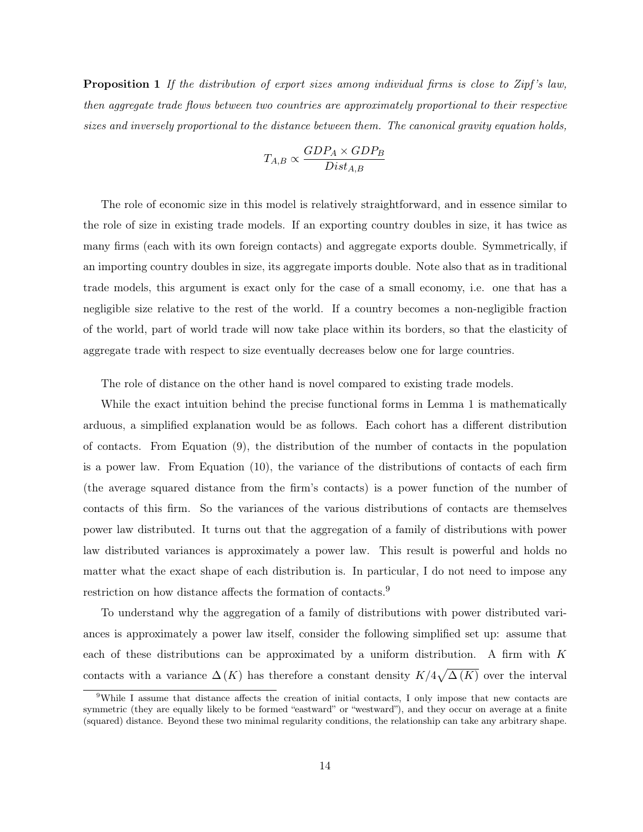Proposition 1 *If the distribution of export sizes among individual firms is close to Zipf 's law, then aggregate trade flows between two countries are approximately proportional to their respective sizes and inversely proportional to the distance between them. The canonical gravity equation holds,*

$$
T_{A,B} \propto \frac{GDP_A \times GDP_B}{Dist_{A,B}}
$$

The role of economic size in this model is relatively straightforward, and in essence similar to the role of size in existing trade models. If an exporting country doubles in size, it has twice as many firms (each with its own foreign contacts) and aggregate exports double. Symmetrically, if an importing country doubles in size, its aggregate imports double. Note also that as in traditional trade models, this argument is exact only for the case of a small economy, i.e. one that has a negligible size relative to the rest of the world. If a country becomes a non-negligible fraction of the world, part of world trade will now take place within its borders, so that the elasticity of aggregate trade with respect to size eventually decreases below one for large countries.

The role of distance on the other hand is novel compared to existing trade models.

While the exact intuition behind the precise functional forms in Lemma 1 is mathematically arduous, a simplified explanation would be as follows. Each cohort has a different distribution of contacts. From Equation (9), the distribution of the number of contacts in the population is a power law. From Equation (10), the variance of the distributions of contacts of each firm (the average squared distance from the firm's contacts) is a power function of the number of contacts of this firm. So the variances of the various distributions of contacts are themselves power law distributed. It turns out that the aggregation of a family of distributions with power law distributed variances is approximately a power law. This result is powerful and holds no matter what the exact shape of each distribution is. In particular, I do not need to impose any restriction on how distance affects the formation of contacts.<sup>9</sup>

To understand why the aggregation of a family of distributions with power distributed variances is approximately a power law itself, consider the following simplified set up: assume that each of these distributions can be approximated by a uniform distribution. A firm with *K* contacts with a variance  $\Delta(K)$  has therefore a constant density  $K/4\sqrt{\Delta(K)}$  over the interval

<sup>&</sup>lt;sup>9</sup>While I assume that distance affects the creation of initial contacts, I only impose that new contacts are symmetric (they are equally likely to be formed "eastward" or "westward"), and they occur on average at a finite (squared) distance. Beyond these two minimal regularity conditions, the relationship can take any arbitrary shape.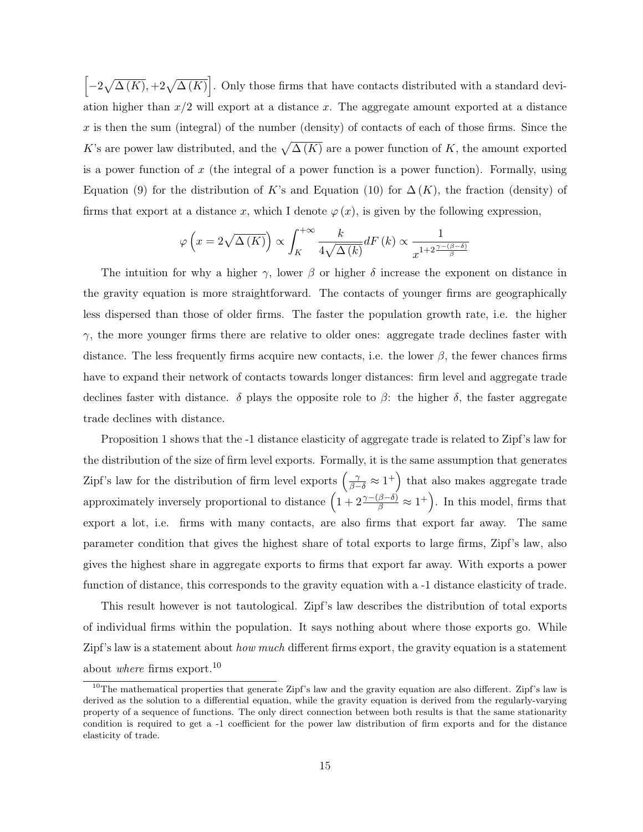$\left[-2\sqrt{\Delta(K)}, +2\sqrt{\Delta(K)}\right]$ . Only those firms that have contacts distributed with a standard devi-|<br>|<br>| ation higher than  $x/2$  will export at a distance  $x$ . The aggregate amount exported at a distance  $x$  is then the sum (integral) of the number (density) of contacts of each of those firms. Since the *K*'s are power law distributed, and the  $\sqrt{\Delta(K)}$  are a power function of *K*, the amount exported is a power function of *x* (the integral of a power function is a power function). Formally, using Equation (9) for the distribution of *K*'s and Equation (10) for  $\Delta(K)$ , the fraction (density) of firms that export at a distance x, which I denote  $\varphi(x)$ , is given by the following expression,

$$
\varphi\left(x=2\sqrt{\Delta(K)}\right) \propto \int_K^{+\infty} \frac{k}{4\sqrt{\Delta(k)}} dF(k) \propto \frac{1}{x^{1+2\frac{\gamma-(\beta-\delta)}{\beta}}}
$$

The intuition for why a higher  $\gamma$ , lower  $\beta$  or higher  $\delta$  increase the exponent on distance in the gravity equation is more straightforward. The contacts of younger firms are geographically less dispersed than those of older firms. The faster the population growth rate, i.e. the higher  $\gamma$ , the more younger firms there are relative to older ones: aggregate trade declines faster with distance. The less frequently firms acquire new contacts, i.e. the lower  $\beta$ , the fewer chances firms have to expand their network of contacts towards longer distances: firm level and aggregate trade declines faster with distance.  $\delta$  plays the opposite role to  $\beta$ : the higher  $\delta$ , the faster aggregate trade declines with distance.

Proposition 1 shows that the -1 distance elasticity of aggregate trade is related to Zipf's law for the distribution of the size of firm level exports. Formally, it is the same assumption that generates Zipf's law for the distribution of firm level exports  $(\frac{\gamma}{\beta-\delta} \approx 1^+)$  that also makes aggregate trade approximately inversely proportional to distance  $(1 + 2\frac{\gamma - (\beta - \delta)}{\beta} \approx 1^+)$ . In this model, firms that export a lot, i.e. firms with many contacts, are also firms that export far away. The same parameter condition that gives the highest share of total exports to large firms, Zipf's law, also gives the highest share in aggregate exports to firms that export far away. With exports a power function of distance, this corresponds to the gravity equation with a -1 distance elasticity of trade.

This result however is not tautological. Zipf's law describes the distribution of total exports of individual firms within the population. It says nothing about where those exports go. While Zipf's law is a statement about *how much* different firms export, the gravity equation is a statement about *where* firms export.<sup>10</sup>

<sup>&</sup>lt;sup>10</sup>The mathematical properties that generate Zipf's law and the gravity equation are also different. Zipf's law is derived as the solution to a differential equation, while the gravity equation is derived from the regularly-varying property of a sequence of functions. The only direct connection between both results is that the same stationarity condition is required to get a -1 coefficient for the power law distribution of firm exports and for the distance elasticity of trade.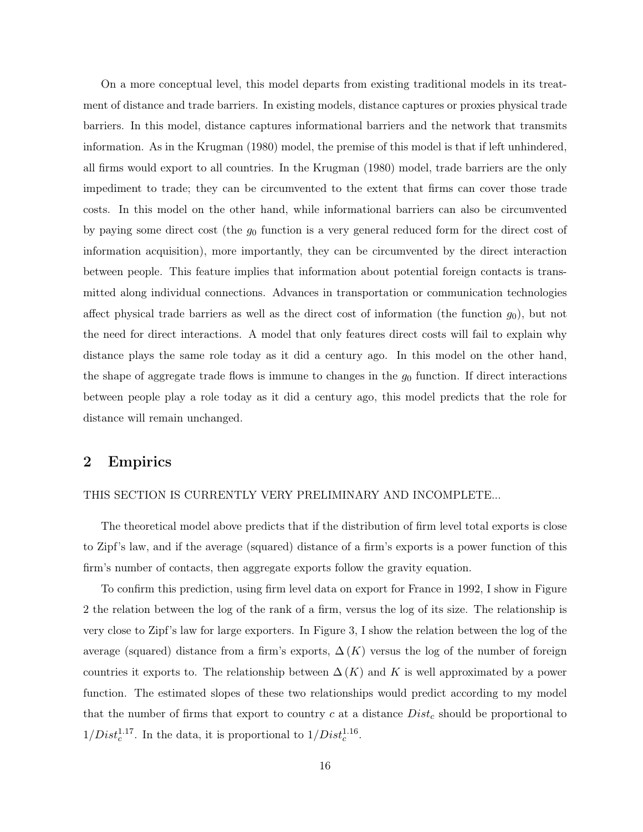On a more conceptual level, this model departs from existing traditional models in its treatment of distance and trade barriers. In existing models, distance captures or proxies physical trade barriers. In this model, distance captures informational barriers and the network that transmits information. As in the Krugman (1980) model, the premise of this model is that if left unhindered, all firms would export to all countries. In the Krugman (1980) model, trade barriers are the only impediment to trade; they can be circumvented to the extent that firms can cover those trade costs. In this model on the other hand, while informational barriers can also be circumvented by paying some direct cost (the *g*<sup>0</sup> function is a very general reduced form for the direct cost of information acquisition), more importantly, they can be circumvented by the direct interaction between people. This feature implies that information about potential foreign contacts is transmitted along individual connections. Advances in transportation or communication technologies affect physical trade barriers as well as the direct cost of information (the function *g*0), but not the need for direct interactions. A model that only features direct costs will fail to explain why distance plays the same role today as it did a century ago. In this model on the other hand, the shape of aggregate trade flows is immune to changes in the  $g_0$  function. If direct interactions between people play a role today as it did a century ago, this model predicts that the role for distance will remain unchanged.

## 2 Empirics

#### THIS SECTION IS CURRENTLY VERY PRELIMINARY AND INCOMPLETE...

The theoretical model above predicts that if the distribution of firm level total exports is close to Zipf's law, and if the average (squared) distance of a firm's exports is a power function of this firm's number of contacts, then aggregate exports follow the gravity equation.

To confirm this prediction, using firm level data on export for France in 1992, I show in Figure 2 the relation between the log of the rank of a firm, versus the log of its size. The relationship is very close to Zipf's law for large exporters. In Figure 3, I show the relation between the log of the average (squared) distance from a firm's exports,  $\Delta(K)$  versus the log of the number of foreign countries it exports to. The relationship between  $\Delta(K)$  and K is well approximated by a power function. The estimated slopes of these two relationships would predict according to my model that the number of firms that export to country *c* at a distance *Dist<sup>c</sup>* should be proportional to  $1/Dist_c^{1.17}$ . In the data, it is proportional to  $1/Dist_c^{1.16}$ .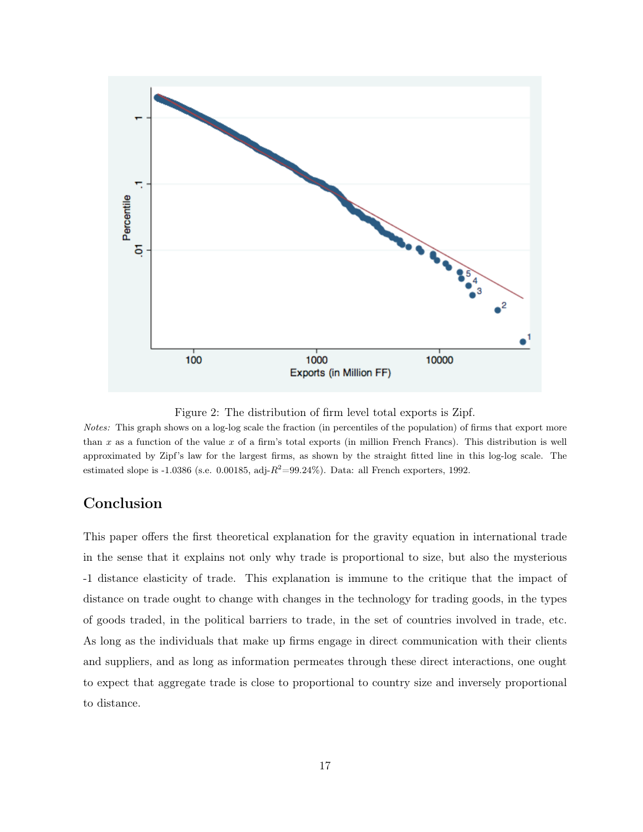

Figure 2: The distribution of firm level total exports is Zipf.

*Notes:* This graph shows on a log-log scale the fraction (in percentiles of the population) of firms that export more than *x* as a function of the value *x* of a firm's total exports (in million French Francs). This distribution is well approximated by Zipf's law for the largest firms, as shown by the straight fitted line in this log-log scale. The estimated slope is -1.0386 (s.e. 0.00185, adj- $R^2$ =99.24%). Data: all French exporters, 1992.

## Conclusion

This paper offers the first theoretical explanation for the gravity equation in international trade in the sense that it explains not only why trade is proportional to size, but also the mysterious -1 distance elasticity of trade. This explanation is immune to the critique that the impact of distance on trade ought to change with changes in the technology for trading goods, in the types of goods traded, in the political barriers to trade, in the set of countries involved in trade, etc. As long as the individuals that make up firms engage in direct communication with their clients and suppliers, and as long as information permeates through these direct interactions, one ought to expect that aggregate trade is close to proportional to country size and inversely proportional to distance.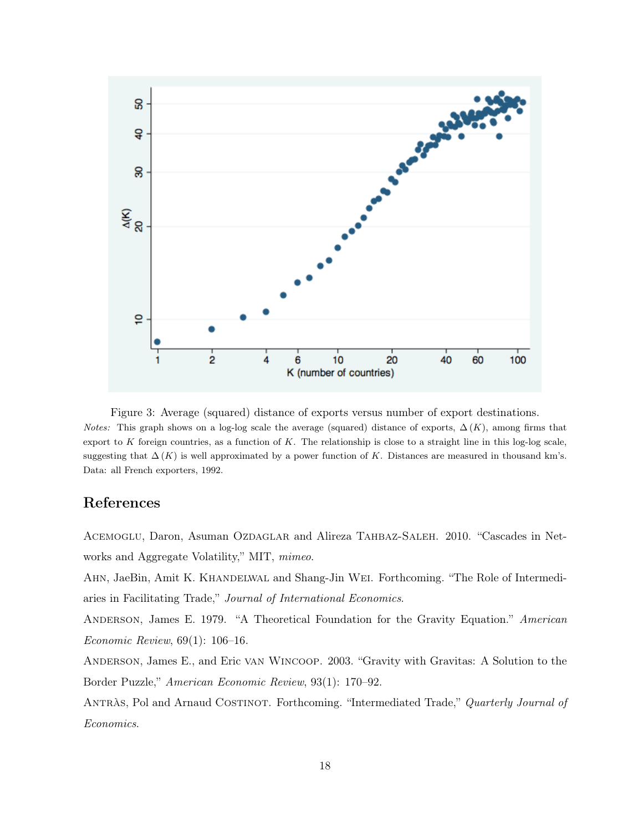

Figure 3: Average (squared) distance of exports versus number of export destinations. *Notes:* This graph shows on a log-log scale the average (squared) distance of exports,  $\Delta(K)$ , among firms that export to  $K$  foreign countries, as a function of  $K$ . The relationship is close to a straight line in this log-log scale, suggesting that  $\Delta(K)$  is well approximated by a power function of K. Distances are measured in thousand km's. Data: all French exporters, 1992.

# References

ACEMOGLU, Daron, Asuman OZDAGLAR and Alireza TAHBAZ-SALEH. 2010. "Cascades in Networks and Aggregate Volatility," MIT, *mimeo*.

AHN, JaeBin, Amit K. KHANDELWAL and Shang-Jin WEI. Forthcoming. "The Role of Intermediaries in Facilitating Trade," *Journal of International Economics*.

Anderson, James E. 1979. "A Theoretical Foundation for the Gravity Equation." *American Economic Review*, 69(1): 106–16.

Anderson, James E., and Eric van Wincoop. 2003. "Gravity with Gravitas: A Solution to the Border Puzzle," *American Economic Review*, 93(1): 170–92.

Antràs, Pol and Arnaud Costinot. Forthcoming. "Intermediated Trade," *Quarterly Journal of Economics*.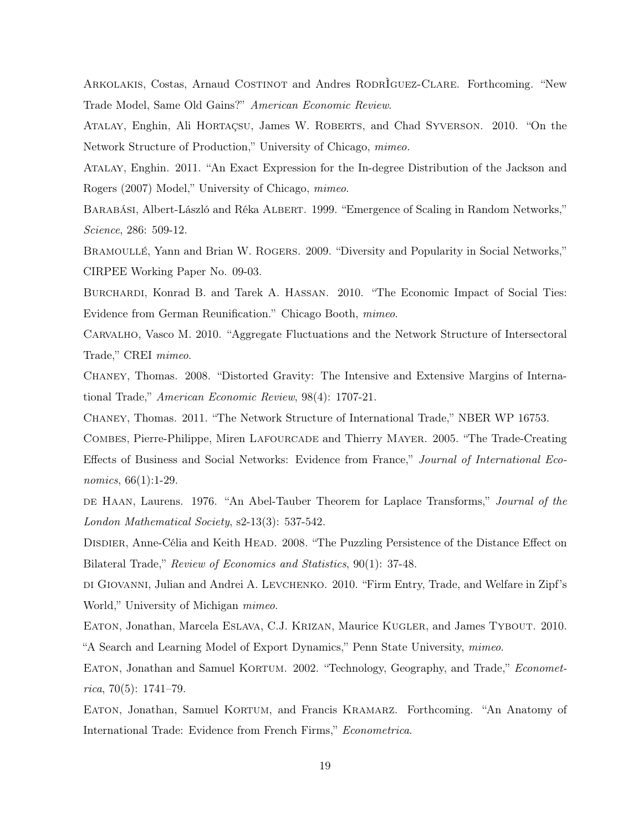Arkolakis, Costas, Arnaud Costinot and Andres RodrÌguez-Clare. Forthcoming. "New Trade Model, Same Old Gains?" *American Economic Review*.

Atalay, Enghin, Ali Hortaçsu, James W. Roberts, and Chad Syverson. 2010. "On the Network Structure of Production," University of Chicago, *mimeo.*

Atalay, Enghin. 2011. "An Exact Expression for the In-degree Distribution of the Jackson and Rogers (2007) Model," University of Chicago, *mimeo*.

BARABÁSI, Albert-László and Réka ALBERT. 1999. "Emergence of Scaling in Random Networks," *Science*, 286: 509-12.

BRAMOULLÉ, Yann and Brian W. ROGERS. 2009. "Diversity and Popularity in Social Networks," CIRPEE Working Paper No. 09-03.

Burchardi, Konrad B. and Tarek A. Hassan. 2010. "The Economic Impact of Social Ties: Evidence from German Reunification." Chicago Booth, *mimeo*.

Carvalho, Vasco M. 2010. "Aggregate Fluctuations and the Network Structure of Intersectoral Trade," CREI *mimeo*.

Chaney, Thomas. 2008. "Distorted Gravity: The Intensive and Extensive Margins of International Trade," *American Economic Review*, 98(4): 1707-21.

Chaney, Thomas. 2011. "The Network Structure of International Trade," NBER WP 16753.

Combes, Pierre-Philippe, Miren Lafourcade and Thierry Mayer. 2005. "The Trade-Creating Effects of Business and Social Networks: Evidence from France," *Journal of International Economics*, 66(1):1-29.

de Haan, Laurens. 1976. "An Abel-Tauber Theorem for Laplace Transforms," *Journal of the London Mathematical Society*, s2-13(3): 537-542.

DISDIER, Anne-Célia and Keith HEAD. 2008. "The Puzzling Persistence of the Distance Effect on Bilateral Trade," *Review of Economics and Statistics*, 90(1): 37-48.

di Giovanni, Julian and Andrei A. Levchenko. 2010. "Firm Entry, Trade, and Welfare in Zipf's World," University of Michigan *mimeo*.

EATON, Jonathan, Marcela ESLAVA, C.J. KRIZAN, Maurice KUGLER, and James TYBOUT. 2010. "A Search and Learning Model of Export Dynamics," Penn State University, *mimeo*.

EATON, Jonathan and Samuel KORTUM. 2002. "Technology, Geography, and Trade," *Econometrica*, 70(5): 1741–79.

Eaton, Jonathan, Samuel Kortum, and Francis Kramarz. Forthcoming. "An Anatomy of International Trade: Evidence from French Firms," *Econometrica*.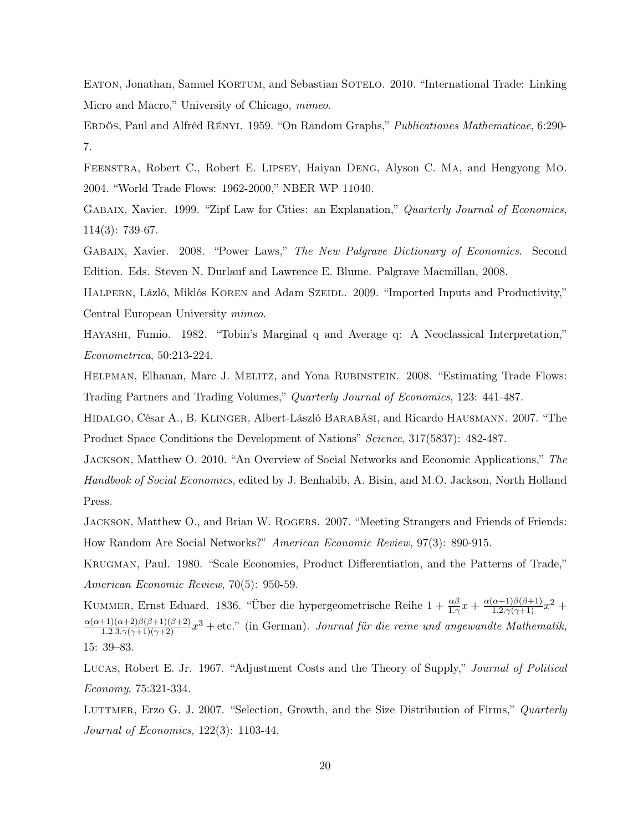EATON, Jonathan, Samuel KORTUM, and Sebastian SOTELO. 2010. "International Trade: Linking Micro and Macro," University of Chicago, *mimeo*.

Erdös, Paul and Alfréd Rényi. 1959. "On Random Graphs," *Publicationes Mathematicae*, 6:290- 7.

Feenstra, Robert C., Robert E. Lipsey, Haiyan Deng, Alyson C. Ma, and Hengyong Mo. 2004. "World Trade Flows: 1962-2000," NBER WP 11040.

Gabaix, Xavier. 1999. "Zipf Law for Cities: an Explanation," *Quarterly Journal of Economics*, 114(3): 739-67.

Gabaix, Xavier. 2008. "Power Laws," *The New Palgrave Dictionary of Economics*. Second Edition. Eds. Steven N. Durlauf and Lawrence E. Blume. Palgrave Macmillan, 2008.

HALPERN, Lázló, Miklós KOREN and Adam SzEIDL. 2009. "Imported Inputs and Productivity," Central European University *mimeo*.

Hayashi, Fumio. 1982. "Tobin's Marginal q and Average q: A Neoclassical Interpretation," *Econometrica*, 50:213-224.

Helpman, Elhanan, Marc J. Melitz, and Yona Rubinstein. 2008. "Estimating Trade Flows: Trading Partners and Trading Volumes," *Quarterly Journal of Economics*, 123: 441-487.

Hidalgo, César A., B. Klinger, Albert-László Barabási, and Ricardo Hausmann. 2007. "The Product Space Conditions the Development of Nations" *Science*, 317(5837): 482-487.

Jackson, Matthew O. 2010. "An Overview of Social Networks and Economic Applications," *The Handbook of Social Economics*, edited by J. Benhabib, A. Bisin, and M.O. Jackson, North Holland Press.

JACKSON, Matthew O., and Brian W. ROGERS. 2007. "Meeting Strangers and Friends of Friends: How Random Are Social Networks?" *American Economic Review*, 97(3): 890-915.

Krugman, Paul. 1980. "Scale Economies, Product Differentiation, and the Patterns of Trade," *American Economic Review*, 70(5): 950-59.

KUMMER, Ernst Eduard. 1836. "Über die hypergeometrische Reihe  $1 + \frac{\alpha\beta}{1\cdot\gamma}x + \frac{\alpha(\alpha+1)\beta(\beta+1)}{1\cdot2\cdot\gamma(\gamma+1)}x^2 +$  $\frac{\alpha(\alpha+1)(\alpha+2)\beta(\beta+1)(\beta+2)}{1.2.3.\gamma(\gamma+1)(\gamma+2)}x^3 +$ etc." (in German). *Journal für die reine und angewandte Mathematik*, 15: 39–83.

Lucas, Robert E. Jr. 1967. "Adjustment Costs and the Theory of Supply," *Journal of Political Economy*, 75:321-334.

Luttmer, Erzo G. J. 2007. "Selection, Growth, and the Size Distribution of Firms," *Quarterly Journal of Economics*, 122(3): 1103-44.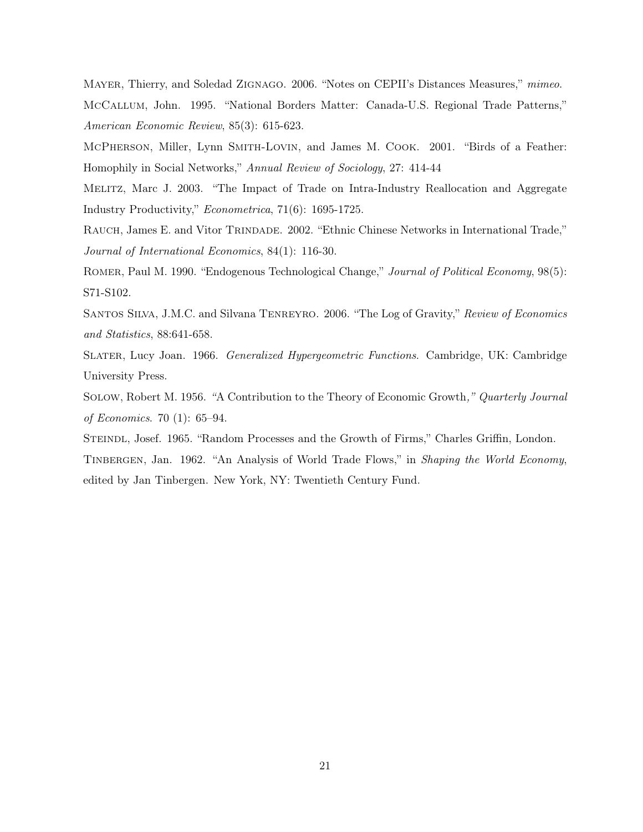Mayer, Thierry, and Soledad Zignago. 2006. "Notes on CEPII's Distances Measures," *mimeo*. McCallum, John. 1995. "National Borders Matter: Canada-U.S. Regional Trade Patterns," *American Economic Review*, 85(3): 615-623.

McPherson, Miller, Lynn Smith-Lovin, and James M. Cook. 2001. "Birds of a Feather: Homophily in Social Networks," *Annual Review of Sociology*, 27: 414-44

Melitz, Marc J. 2003. "The Impact of Trade on Intra-Industry Reallocation and Aggregate Industry Productivity," *Econometrica*, 71(6): 1695-1725.

RAUCH, James E. and Vitor TRINDADE. 2002. "Ethnic Chinese Networks in International Trade," *Journal of International Economics*, 84(1): 116-30.

Romer, Paul M. 1990. "Endogenous Technological Change," *Journal of Political Economy*, 98(5): S71-S102.

Santos Silva, J.M.C. and Silvana Tenreyro. 2006. "The Log of Gravity," *Review of Economics and Statistics*, 88:641-658.

Slater, Lucy Joan. 1966. *Generalized Hypergeometric Functions*. Cambridge, UK: Cambridge University Press.

Solow, Robert M. 1956. *"*A Contribution to the Theory of Economic Growth*," Quarterly Journal of Economics*. 70 (1): 65–94.

Steindl, Josef. 1965. "Random Processes and the Growth of Firms," Charles Griffin, London.

Tinbergen, Jan. 1962. "An Analysis of World Trade Flows," in *Shaping the World Economy*, edited by Jan Tinbergen. New York, NY: Twentieth Century Fund.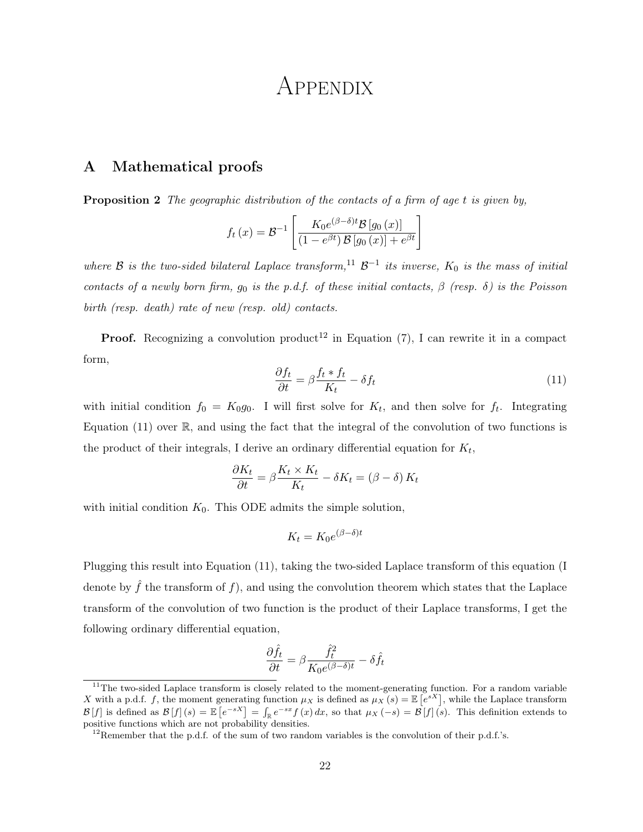# APPENDIX

## A Mathematical proofs

Proposition 2 *The geographic distribution of the contacts of a firm of age t is given by,*

$$
f_t(x) = \mathcal{B}^{-1} \left[ \frac{K_0 e^{(\beta - \delta)t} \mathcal{B} \left[ g_0(x) \right]}{(1 - e^{\beta t}) \mathcal{B} \left[ g_0(x) \right] + e^{\beta t}} \right]
$$

*where*  $\beta$  *is the two-sided bilateral Laplace transform*,<sup>11</sup>  $\beta$ <sup>−1</sup> *its inverse,*  $K_0$  *is the mass of initial contacts of a newly born firm,*  $g_0$  *is the p.d.f. of these initial contacts,*  $\beta$  *(resp.*  $\delta$ *) is the Poisson birth (resp. death) rate of new (resp. old) contacts.*

**Proof.** Recognizing a convolution product<sup>12</sup> in Equation (7), I can rewrite it in a compact form,

$$
\frac{\partial f_t}{\partial t} = \beta \frac{f_t * f_t}{K_t} - \delta f_t \tag{11}
$$

with initial condition  $f_0 = K_0 g_0$ . I will first solve for  $K_t$ , and then solve for  $f_t$ . Integrating Equation  $(11)$  over  $\mathbb{R}$ , and using the fact that the integral of the convolution of two functions is the product of their integrals, I derive an ordinary differential equation for *Kt*,

$$
\frac{\partial K_t}{\partial t} = \beta \frac{K_t \times K_t}{K_t} - \delta K_t = (\beta - \delta) K_t
$$

with initial condition  $K_0$ . This ODE admits the simple solution,

$$
K_t = K_0 e^{(\beta - \delta)t}
$$

Plugging this result into Equation (11), taking the two-sided Laplace transform of this equation (I denote by  $\hat{f}$  the transform of  $f$ ), and using the convolution theorem which states that the Laplace transform of the convolution of two function is the product of their Laplace transforms, I get the following ordinary differential equation,

$$
\frac{\partial \hat{f}_t}{\partial t} = \beta \frac{\hat{f}_t^2}{K_0 e^{(\beta - \delta)t}} - \delta \hat{f}_t
$$

 $11$ The two-sided Laplace transform is closely related to the moment-generating function. For a random variable *X* with a p.d.f. *f*, the moment generating function  $\mu_X$  is defined as  $\mu_X(s) = \mathbb{E}\left[e^{sX}\right]$ , while the Laplace transform  $\mathcal{B}[f]$  is defined as  $\mathcal{B}[f](s) = \mathbb{E}[e^{-sX}] = \int_{\mathbb{R}} e^{-sx} f(x) dx$ , so that  $\mu_X(-s) = \mathcal{B}[f](s)$ . This definition extends to positive functions which are not probability densities.

<sup>&</sup>lt;sup>12</sup>Remember that the p.d.f. of the sum of two random variables is the convolution of their p.d.f.'s.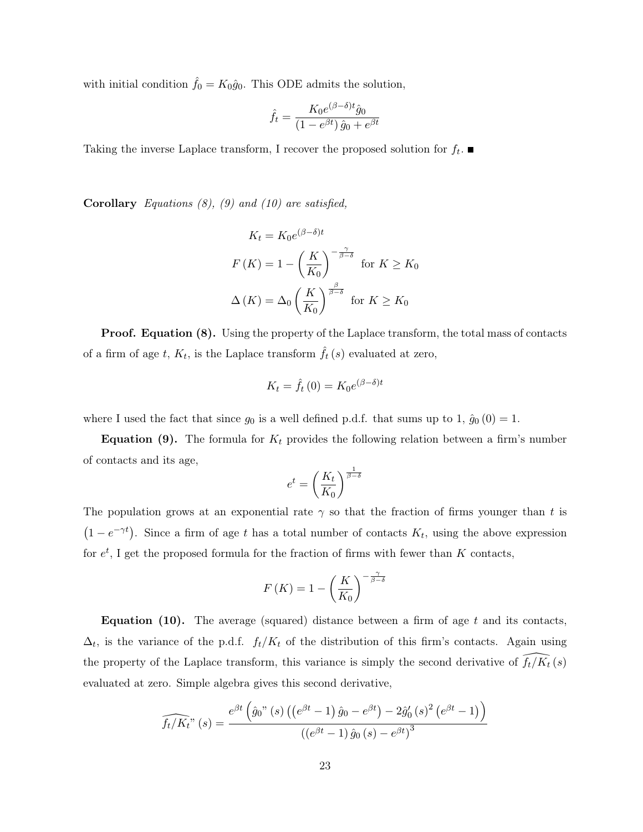with initial condition  $\hat{f}_0 = K_0 \hat{g}_0$ . This ODE admits the solution,

$$
\hat{f}_t = \frac{K_0 e^{(\beta - \delta)t} \hat{g}_0}{(1 - e^{\beta t}) \hat{g}_0 + e^{\beta t}}
$$

Taking the inverse Laplace transform, I recover the proposed solution for  $f_t$ .

Corollary *Equations (8), (9) and (10) are satisfied,*

$$
K_t = K_0 e^{(\beta - \delta)t}
$$
  
\n
$$
F(K) = 1 - \left(\frac{K}{K_0}\right)^{-\frac{\gamma}{\beta - \delta}} \text{ for } K \ge K_0
$$
  
\n
$$
\Delta(K) = \Delta_0 \left(\frac{K}{K_0}\right)^{\frac{\beta}{\beta - \delta}} \text{ for } K \ge K_0
$$

**Proof. Equation (8).** Using the property of the Laplace transform, the total mass of contacts of a firm of age  $t$ ,  $K_t$ , is the Laplace transform  $\hat{f}_t(s)$  evaluated at zero,

$$
K_t = \hat{f}_t(0) = K_0 e^{(\beta - \delta)t}
$$

where I used the fact that since  $g_0$  is a well defined p.d.f. that sums up to 1,  $\hat{g}_0(0) = 1$ .

**Equation (9).** The formula for  $K_t$  provides the following relation between a firm's number of contacts and its age,

$$
e^t = \left(\frac{K_t}{K_0}\right)^{\frac{1}{\beta-\delta}}
$$

The population grows at an exponential rate  $\gamma$  so that the fraction of firms younger than t is  $(1 - e^{-\gamma t})$ . Since a firm of age *t* has a total number of contacts  $K_t$ , using the above expression for *e<sup>t</sup>* , I get the proposed formula for the fraction of firms with fewer than *K* contacts,

$$
F(K) = 1 - \left(\frac{K}{K_0}\right)^{-\frac{\gamma}{\beta - \delta}}
$$

Equation (10). The average (squared) distance between a firm of age *t* and its contacts,  $\Delta_t$ , is the variance of the p.d.f.  $f_t/K_t$  of the distribution of this firm's contacts. Again using the property of the Laplace transform, this variance is simply the second derivative of  $\widehat{f}_t / K_t(s)$ evaluated at zero. Simple algebra gives this second derivative,

$$
\widehat{f_t/K_t}^n(s) = \frac{e^{\beta t} \left( \hat{g}_0^n(s) \left( \left( e^{\beta t} - 1 \right) \hat{g}_0 - e^{\beta t} \right) - 2 \hat{g}'_0(s)^2 \left( e^{\beta t} - 1 \right) \right)}{\left( \left( e^{\beta t} - 1 \right) \hat{g}_0(s) - e^{\beta t} \right)^3}
$$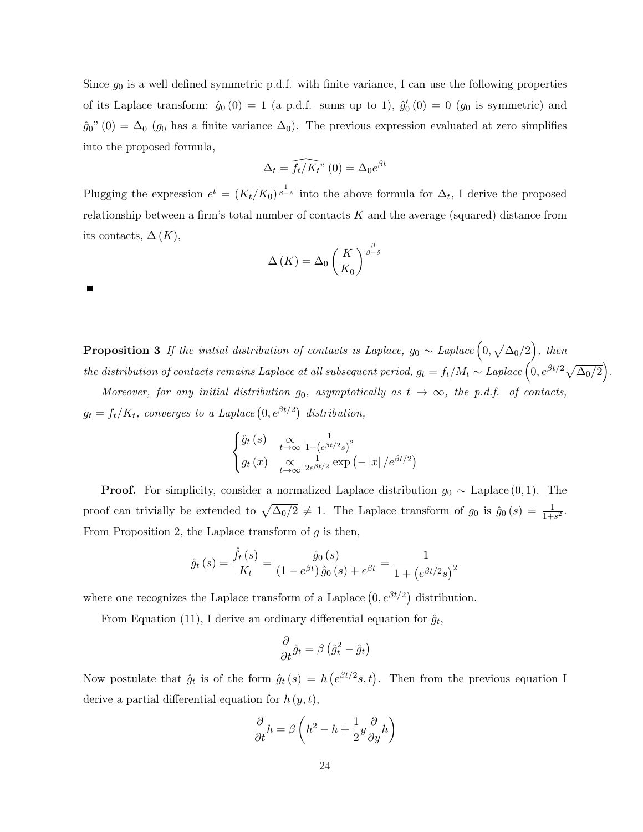Since *g*<sup>0</sup> is a well defined symmetric p.d.f. with finite variance, I can use the following properties of its Laplace transform:  $\hat{g}_0(0) = 1$  (a p.d.f. sums up to 1),  $\hat{g}'_0(0) = 0$  ( $g_0$  is symmetric) and  $\hat{g}_0$ <sup>n</sup> (0) =  $\Delta_0$  ( $g_0$  has a finite variance  $\Delta_0$ ). The previous expression evaluated at zero simplifies into the proposed formula,

$$
\Delta_t = \widehat{f_t/K_t}^n(0) = \Delta_0 e^{\beta t}
$$

Plugging the expression  $e^t = (K_t/K_0)^{\frac{1}{\beta-\delta}}$  into the above formula for  $\Delta_t$ , I derive the proposed relationship between a firm's total number of contacts *K* and the average (squared) distance from its contacts,  $\Delta(K)$ ,

$$
\Delta(K) = \Delta_0 \left(\frac{K}{K_0}\right)^{\frac{\beta}{\beta - \delta}}
$$

 $\blacksquare$ 

**Proposition 3** *If the initial distribution of contacts is Laplace,*  $g_0 \sim Laplace \left(0, \sqrt{\Delta_0/2}\right)$ , then  $\hat{F}_{t} = \int_{t}^{t} \int_{t}^{t} \hat{F}_{t} \cdot d\theta \left( \int_{t}^{t} \hat{F}_{t} \cdot d\theta \right) d\theta$  *the distribution of contacts remains Laplace at all subsequent period,*  $g_{t} = f_{t}/M_{t} \sim Laplace \left( 0, e^{\beta t/2} \sqrt{\Delta_{0}/2} \right)$ .

*Moreover, for any initial distribution*  $g_0$ , asymptotically as  $t \to \infty$ , the p.d.f. of contacts,  $g_t = f_t/K_t$ , converges to a Laplace  $(0, e^{\beta t/2})$  distribution,

$$
\begin{cases} \hat{g}_t(s) & \propto \frac{1}{1 + \left(e^{\beta t/2} s\right)^2} \\ g_t(x) & \propto \frac{1}{2e^{\beta t/2}} \exp\left(-\left|x\right| / e^{\beta t/2}\right) \end{cases}
$$

**Proof.** For simplicity, consider a normalized Laplace distribution  $g_0 \sim$  Laplace  $(0, 1)$ . The proof can trivially be extended to  $\sqrt{\Delta_0/2} \neq 1$ . The Laplace transform of  $g_0$  is  $\hat{g}_0(s) = \frac{1}{1+s^2}$ . From Proposition 2, the Laplace transform of *g* is then,

$$
\hat{g}_t(s) = \frac{\hat{f}_t(s)}{K_t} = \frac{\hat{g}_0(s)}{(1 - e^{\beta t}) \hat{g}_0(s) + e^{\beta t}} = \frac{1}{1 + (e^{\beta t/2} s)^2}
$$

where one recognizes the Laplace transform of a Laplace  $(0, e^{\beta t/2})$  distribution.

From Equation (11), I derive an ordinary differential equation for  $\hat{g}_t$ ,

$$
\frac{\partial}{\partial t}\hat{g}_t = \beta \left(\hat{g}_t^2 - \hat{g}_t\right)
$$

Now postulate that  $\hat{g}_t$  is of the form  $\hat{g}_t(s) = h\left(e^{\beta t/2}s, t\right)$ . Then from the previous equation I derive a partial differential equation for *h* (*y, t*),

$$
\frac{\partial}{\partial t}h = \beta \left( h^2 - h + \frac{1}{2}y \frac{\partial}{\partial y} h \right)
$$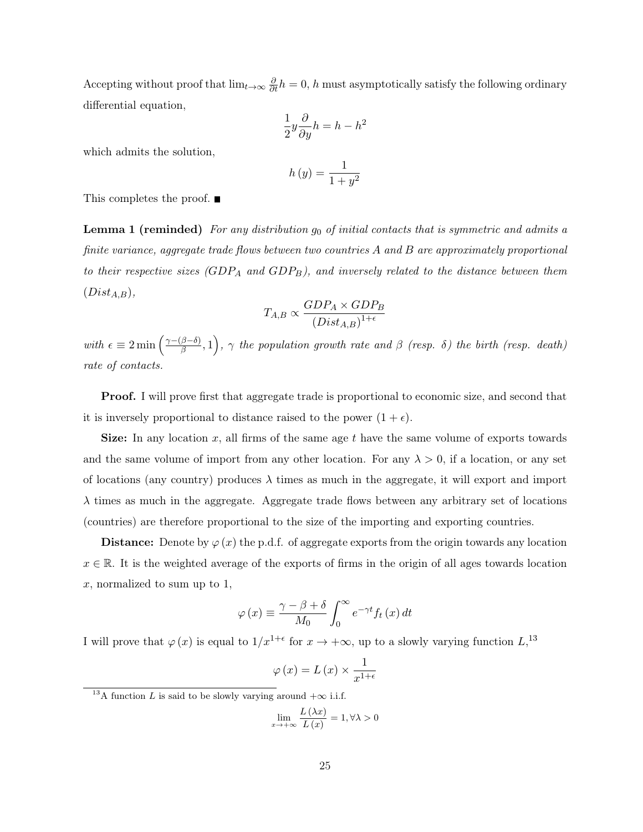Accepting without proof that  $\lim_{t\to\infty} \frac{\partial}{\partial t}h = 0$ , *h* must asymptotically satisfy the following ordinary differential equation,

$$
\frac{1}{2}y\frac{\partial}{\partial y}h = h - h^2
$$

which admits the solution,

$$
h\left(y\right) = \frac{1}{1+y^2}
$$

This completes the proof. ■

Lemma 1 (reminded) *For any distribution g*<sup>0</sup> *of initial contacts that is symmetric and admits a finite variance, aggregate trade flows between two countries A and B are approximately proportional to their respective sizes (GDP<sup>A</sup> and GDPB), and inversely related to the distance between them* (*DistA,B*)*,*

$$
T_{A,B} \propto \frac{GDP_A \times GDP_B}{(Dist_{A,B})^{1+\epsilon}}
$$

 $with \epsilon \equiv 2 \min \left( \frac{\gamma - (\beta - \delta)}{\beta}, 1 \right)$ ,  $\gamma$  the population growth rate and  $\beta$  (resp.  $\delta$ ) the birth (resp. death) *rate of contacts.*

**Proof.** I will prove first that aggregate trade is proportional to economic size, and second that it is inversely proportional to distance raised to the power  $(1 + \epsilon)$ .

Size: In any location *x*, all firms of the same age *t* have the same volume of exports towards and the same volume of import from any other location. For any  $\lambda > 0$ , if a location, or any set of locations (any country) produces  $\lambda$  times as much in the aggregate, it will export and import  $\lambda$  times as much in the aggregate. Aggregate trade flows between any arbitrary set of locations (countries) are therefore proportional to the size of the importing and exporting countries.

**Distance:** Denote by  $\varphi(x)$  the p.d.f. of aggregate exports from the origin towards any location  $x \in \mathbb{R}$ . It is the weighted average of the exports of firms in the origin of all ages towards location *x*, normalized to sum up to 1,

$$
\varphi(x) \equiv \frac{\gamma - \beta + \delta}{M_0} \int_0^\infty e^{-\gamma t} f_t(x) dt
$$

I will prove that  $\varphi(x)$  is equal to  $1/x^{1+\epsilon}$  for  $x \to +\infty$ , up to a slowly varying function  $L$ <sup>13</sup>

$$
\varphi(x) = L(x) \times \frac{1}{x^{1+\epsilon}}
$$

$$
\lim_{x \to +\infty} \frac{L(\lambda x)}{L(x)} = 1, \forall \lambda > 0
$$

<sup>&</sup>lt;sup>13</sup>A function *L* is said to be slowly varying around  $+\infty$  i.i.f.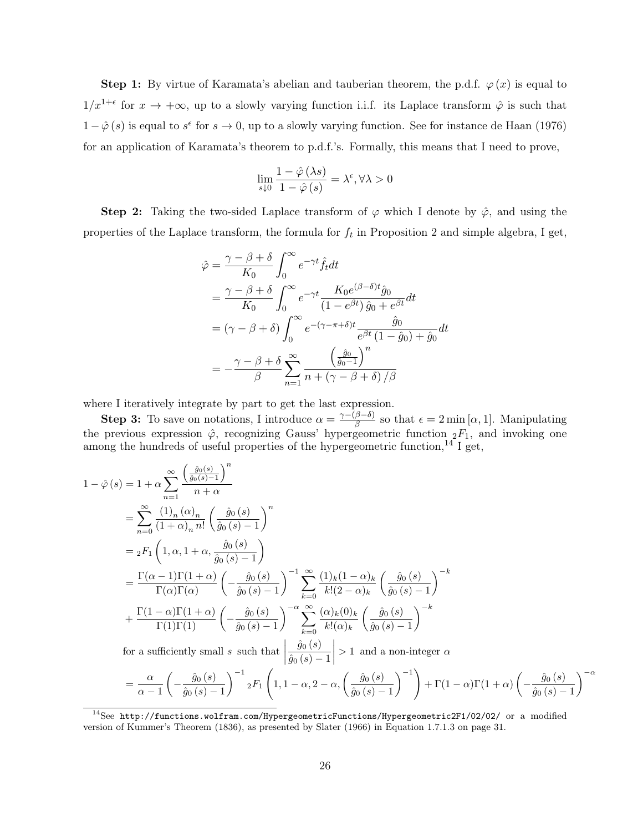Step 1: By virtue of Karamata's abelian and tauberian theorem, the p.d.f.  $\varphi(x)$  is equal to  $1/x^{1+\epsilon}$  for  $x \to +\infty$ , up to a slowly varying function i.i.f. its Laplace transform  $\hat{\varphi}$  is such that  $1 - \hat{\varphi}(s)$  is equal to  $s^{\epsilon}$  for  $s \to 0$ , up to a slowly varying function. See for instance de Haan (1976) for an application of Karamata's theorem to p.d.f.'s. Formally, this means that I need to prove,

$$
\lim_{s\downarrow 0} \frac{1-\hat{\varphi}\left(\lambda s\right)}{1-\hat{\varphi}\left(s\right)} = \lambda^{\epsilon}, \forall \lambda > 0
$$

Step 2: Taking the two-sided Laplace transform of  $\varphi$  which I denote by  $\hat{\varphi}$ , and using the properties of the Laplace transform, the formula for *f<sup>t</sup>* in Proposition 2 and simple algebra, I get,

$$
\hat{\varphi} = \frac{\gamma - \beta + \delta}{K_0} \int_0^{\infty} e^{-\gamma t} \hat{f}_t dt
$$
  
\n
$$
= \frac{\gamma - \beta + \delta}{K_0} \int_0^{\infty} e^{-\gamma t} \frac{K_0 e^{(\beta - \delta)t} \hat{g}_0}{(1 - e^{\beta t}) \hat{g}_0 + e^{\beta t}} dt
$$
  
\n
$$
= (\gamma - \beta + \delta) \int_0^{\infty} e^{-(\gamma - \pi + \delta)t} \frac{\hat{g}_0}{e^{\beta t} (1 - \hat{g}_0) + \hat{g}_0} dt
$$
  
\n
$$
= -\frac{\gamma - \beta + \delta}{\beta} \sum_{n=1}^{\infty} \frac{\left(\frac{\hat{g}_0}{\hat{g}_0 - 1}\right)^n}{n + (\gamma - \beta + \delta) / \beta}
$$

where I iteratively integrate by part to get the last expression.

**Step 3:** To save on notations, I introduce  $\alpha = \frac{\gamma - (\beta - \delta)}{\beta}$  so that  $\epsilon = 2 \min[\alpha, 1]$ . Manipulating the previous expression  $\hat{\varphi}$ , recognizing Gauss' hypergeometric function  ${}_{2}F_1$ , and invoking one among the hundreds of useful properties of the hypergeometric function, $^{14}$  I get,

$$
1 - \hat{\varphi}(s) = 1 + \alpha \sum_{n=1}^{\infty} \frac{\left(\frac{\hat{g}_0(s)}{\hat{g}_0(s)-1}\right)^n}{n+\alpha}
$$
  
\n
$$
= \sum_{n=0}^{\infty} \frac{(1)_n (\alpha)_n}{(1+\alpha)_n n!} \left(\frac{\hat{g}_0(s)}{\hat{g}_0(s)-1}\right)^n
$$
  
\n
$$
= {}_2F_1 \left(1, \alpha, 1+\alpha, \frac{\hat{g}_0(s)}{\hat{g}_0(s)-1}\right)
$$
  
\n
$$
= \frac{\Gamma(\alpha-1)\Gamma(1+\alpha)}{\Gamma(\alpha)\Gamma(\alpha)} \left(-\frac{\hat{g}_0(s)}{\hat{g}_0(s)-1}\right)^{-1} \sum_{k=0}^{\infty} \frac{(1)_k (1-\alpha)_k}{k! (2-\alpha)_k} \left(\frac{\hat{g}_0(s)}{\hat{g}_0(s)-1}\right)^{-k}
$$
  
\n
$$
+ \frac{\Gamma(1-\alpha)\Gamma(1+\alpha)}{\Gamma(1)\Gamma(1)} \left(-\frac{\hat{g}_0(s)}{\hat{g}_0(s)-1}\right)^{-\alpha} \sum_{k=0}^{\infty} \frac{(\alpha)_k (0)_k}{k! (\alpha)_k} \left(\frac{\hat{g}_0(s)}{\hat{g}_0(s)-1}\right)^{-k}
$$
  
\nfor a sufficiently small s such that  $\left|\frac{\hat{g}_0(s)}{\hat{g}_0(s)-1}\right| > 1$  and a non-integer  $\alpha$   
\n
$$
= \frac{\alpha}{\alpha-1} \left(-\frac{\hat{g}_0(s)}{\hat{g}_0(s)-1}\right)^{-1} {}_2F_1 \left(1, 1-\alpha, 2-\alpha, \left(\frac{\hat{g}_0(s)}{\hat{g}_0(s)-1}\right)^{-1}\right) + \Gamma(1-\alpha)\Gamma(1+\alpha) \left(-\frac{\hat{g}_0(s)}{\hat{g}_0(s)-1}\right)^{-\alpha}
$$

<sup>14</sup>See http://functions.wolfram.com/HypergeometricFunctions/Hypergeometric2F1/02/02/ or a modified version of Kummer's Theorem (1836), as presented by Slater (1966) in Equation 1.7.1.3 on page 31.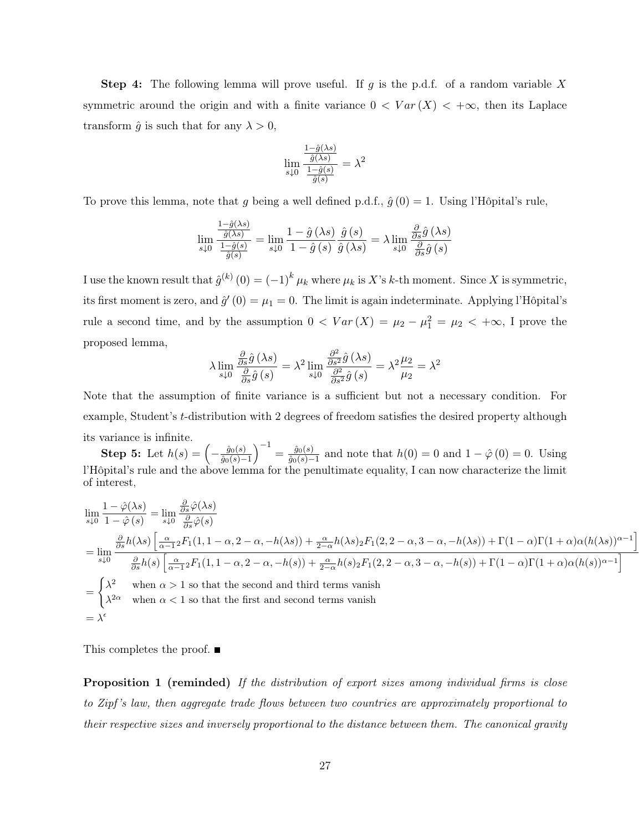Step 4: The following lemma will prove useful. If *g* is the p.d.f. of a random variable *X* symmetric around the origin and with a finite variance  $0 < Var(X) < +\infty$ , then its Laplace transform  $\hat{g}$  is such that for any  $\lambda > 0$ ,

$$
\lim_{s \downarrow 0} \frac{\frac{1 - \hat{g}(\lambda s)}{\hat{g}(\lambda s)}}{\frac{1 - \hat{g}(s)}{\hat{g}(s)}} = \lambda^2
$$

To prove this lemma, note that *g* being a well defined p.d.f.,  $\hat{q}(0) = 1$ . Using l'Hôpital's rule,

$$
\lim_{s\downarrow 0} \frac{\frac{1-\hat{g}(\lambda s)}{\hat{g}(\lambda s)}}{\frac{1-\hat{g}(s)}{\hat{g}(s)}} = \lim_{s\downarrow 0} \frac{1-\hat{g}(\lambda s)}{1-\hat{g}(s)} \frac{\hat{g}(s)}{\hat{g}(\lambda s)} = \lambda \lim_{s\downarrow 0} \frac{\frac{\partial}{\partial s} \hat{g}(\lambda s)}{\frac{\partial}{\partial s} \hat{g}(s)}
$$

I use the known result that  $\hat{g}^{(k)}(0) = (-1)^k \mu_k$  where  $\mu_k$  is X's *k*-th moment. Since X is symmetric, its first moment is zero, and  $\hat{g}'(0) = \mu_1 = 0$ . The limit is again indeterminate. Applying l'Hôpital's rule a second time, and by the assumption  $0 < Var(X) = \mu_2 - \mu_1^2 = \mu_2 < +\infty$ , I prove the proposed lemma,

$$
\lambda \lim_{s \downarrow 0} \frac{\frac{\partial}{\partial s} \hat{g}(\lambda s)}{\frac{\partial}{\partial s} \hat{g}(s)} = \lambda^2 \lim_{s \downarrow 0} \frac{\frac{\partial^2}{\partial s^2} \hat{g}(\lambda s)}{\frac{\partial^2}{\partial s^2} \hat{g}(s)} = \lambda^2 \frac{\mu_2}{\mu_2} = \lambda^2
$$

Note that the assumption of finite variance is a sufficient but not a necessary condition. For example, Student's *t*-distribution with 2 degrees of freedom satisfies the desired property although its variance is infinite.

Step 5: Let  $h(s) = \left(-\frac{\hat{g}_0(s)}{\hat{g}_0(s)-1}\right)$  $\int_{0}^{-1} = \frac{\hat{g}_0(s)}{\hat{g}_0(s)-1}$  and note that  $h(0) = 0$  and  $1 - \hat{\varphi}(0) = 0$ . Using l'Hôpital's rule and the above lemma for the penultimate equality, I can now characterize the limit of interest,

$$
\lim_{s\downarrow 0} \frac{1 - \hat{\varphi}(\lambda s)}{1 - \hat{\varphi}(s)} = \lim_{s\downarrow 0} \frac{\frac{\partial}{\partial s} \hat{\varphi}(\lambda s)}{\frac{\partial}{\partial s} \hat{\varphi}(s)}
$$
\n
$$
= \lim_{s\downarrow 0} \frac{\frac{\partial}{\partial s} h(\lambda s) \left[ \frac{\alpha}{\alpha - 1} 2F_1(1, 1 - \alpha, 2 - \alpha, -h(\lambda s)) + \frac{\alpha}{2 - \alpha} h(\lambda s) 2F_1(2, 2 - \alpha, 3 - \alpha, -h(\lambda s)) + \Gamma(1 - \alpha) \Gamma(1 + \alpha) \alpha (h(\lambda s))^{\alpha - 1} \right]}{\frac{\partial}{\partial s} h(s) \left[ \frac{\alpha}{\alpha - 1} 2F_1(1, 1 - \alpha, 2 - \alpha, -h(s)) + \frac{\alpha}{2 - \alpha} h(s) 2F_1(2, 2 - \alpha, 3 - \alpha, -h(s)) + \Gamma(1 - \alpha) \Gamma(1 + \alpha) \alpha (h(s))^{\alpha - 1} \right]}
$$
\n
$$
= \begin{cases} \lambda^2 & \text{when } \alpha > 1 \text{ so that the second and third terms vanish} \\ \lambda^{2\alpha} & \text{when } \alpha < 1 \text{ so that the first and second terms vanish} \end{cases}
$$
\n
$$
= \lambda^{\epsilon}
$$

|<br>|<br>|

This completes the proof. ■

Proposition 1 (reminded) *If the distribution of export sizes among individual firms is close to Zipf 's law, then aggregate trade flows between two countries are approximately proportional to their respective sizes and inversely proportional to the distance between them. The canonical gravity*